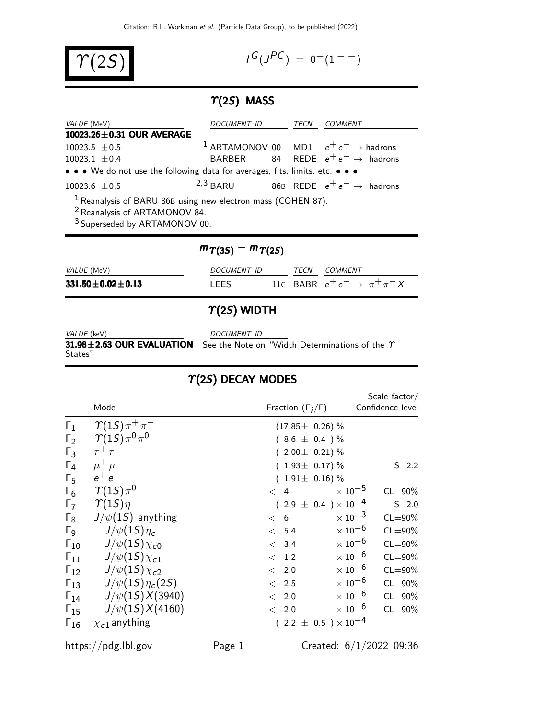$\Upsilon(2S)$ 

$$
I^G(J^{PC}) = 0^-(1^{--})
$$

# $\Upsilon(2S)$  MASS

| <i>VALUE</i> (MeV)                                                                                                                                     | <i>DOCUMENT ID</i> | TECN | <i>COMMENT</i>                                             |
|--------------------------------------------------------------------------------------------------------------------------------------------------------|--------------------|------|------------------------------------------------------------|
| 10023.26±0.31 OUR AVERAGE                                                                                                                              |                    |      |                                                            |
| $10023.5 \pm 0.5$                                                                                                                                      |                    |      | <sup>1</sup> ARTAMONOV 00 MD1 $e^+e^- \rightarrow$ hadrons |
| $10023.1 \pm 0.4$                                                                                                                                      |                    |      | BARBER 84 REDE $e^+e^- \rightarrow$ hadrons                |
| • • • We do not use the following data for averages, fits, limits, etc. • • •                                                                          |                    |      |                                                            |
| $10023.6 + 0.5$                                                                                                                                        |                    |      | 2,3 BARU 86B REDE $e^+e^- \rightarrow$ hadrons             |
| $1$ Reanalysis of BARU 86B using new electron mass (COHEN 87).<br><sup>2</sup> Reanalysis of ARTAMONOV 84.<br><sup>3</sup> Superseded by ARTAMONOV 00. |                    |      |                                                            |

| <i>VALUE</i> (MeV)         | <i>DOCUMENT ID</i> | <b>TFCN</b> | COMMENT                                   |
|----------------------------|--------------------|-------------|-------------------------------------------|
| $331.50 \pm 0.02 \pm 0.13$ | I FFS              |             | 11C BABR $e^+e^- \rightarrow \pi^+\pi^-X$ |

 $m\gamma(35) - m\gamma(25)$ 

## $\gamma$ (2S) WIDTH

VALUE (keV) DOCUMENT ID

States"

31.98 $\pm$ 2.63 OUR EVALUATION See the Note on "Width Determinations of the  $\gamma$ 

# $T(2S)$  DECAY MODES

|               | Mode                       | Fraction $(\Gamma_i/\Gamma)$   | Scale $factor /$<br>Confidence level     |
|---------------|----------------------------|--------------------------------|------------------------------------------|
| $\Gamma_1$    | $\gamma(1S)\pi^+\pi^-$     | $(17.85 \pm 0.26)\%$           |                                          |
| $\Gamma_2$    | $\gamma(1S)\pi^{0}\pi^{0}$ | $(8.6 \pm 0.4) \%$             |                                          |
| $\Gamma_3$    | $\tau^+\tau^-$             | $(2.00 \pm 0.21)\%$            |                                          |
| $\Gamma_4$    | $\mu^+ \mu^-$              | $(1.93 \pm 0.17)\%$            | $S = 2.2$                                |
| $\Gamma_5$    | $e^+e^-$                   | $(1.91 \pm 0.16)\%$            |                                          |
| $\Gamma_6$    | $\gamma(1S)\pi^0$          | $\lt$ 4                        | $\times$ 10 <sup>-5</sup><br>$CL = 90\%$ |
| $\Gamma_7$    | $\gamma(1S)\eta$           | $(2.9 \pm 0.4) \times 10^{-4}$ | $S = 2.0$                                |
| $\Gamma_8$    | $J/\psi(15)$ anything      | < 6                            | $\times$ 10 <sup>-3</sup><br>$CL = 90\%$ |
| $\Gamma_{9}$  | $J/\psi(1S)\eta_c$         | < 5.4                          | $\times$ 10 <sup>-6</sup><br>$CL = 90\%$ |
| $\Gamma_{10}$ | $J/\psi(15)\chi_{c0}$      | < 3.4                          | $\times$ 10 <sup>-6</sup><br>$CL = 90\%$ |
| $\Gamma_{11}$ | $J/\psi(15)\chi_{c1}$      | < 1.2                          | $\times$ 10 <sup>-6</sup><br>$CL = 90\%$ |
| $\Gamma_{12}$ | $J/\psi(15)\chi_{c2}$      | < 2.0                          | $\times$ 10 <sup>-6</sup><br>$CL = 90\%$ |
| $\Gamma_{13}$ | $J/\psi(1S)\eta_c(2S)$     | $\langle$ 2.5                  | $\times$ 10 <sup>-6</sup><br>$CL = 90\%$ |
| $\Gamma_{14}$ | $J/\psi(15)X(3940)$        | < 2.0                          | $\times$ 10 <sup>-6</sup><br>$CL = 90\%$ |
| $\Gamma_{15}$ | $J/\psi(1S)X(4160)$        | < 2.0                          | $\times$ 10 <sup>-6</sup><br>$CL = 90\%$ |
| $\Gamma_{16}$ | $\chi_{c1}$ anything       | $(2.2 \pm 0.5) \times 10^{-4}$ |                                          |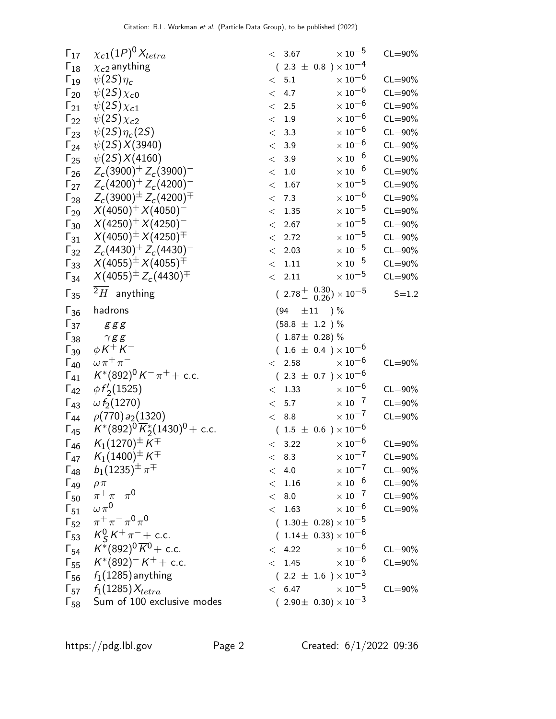| $\Gamma_{17}$          | $\chi_{c1}(1P)^{0}\chi_{tetra}$                  | $<\phantom{0}3.67$                     | $\times$ 10 $^{-5}$       | $CL = 90\%$ |
|------------------------|--------------------------------------------------|----------------------------------------|---------------------------|-------------|
| $\Gamma_{18}$          | $\chi_{c2}$ anything                             | $(2.3 \pm 0.8) \times 10^{-4}$         |                           |             |
| $\Gamma_{19}$          | $\psi(2S)\eta_c$                                 | < 5.1                                  | $\times$ 10 $^{-6}$       | $CL = 90\%$ |
| $\Gamma_{20}$          | $\psi(2S)\chi_{c0}$                              | 4.7<br>$\lt$                           | $\times$ $10^{-6}$        | $CL = 90\%$ |
| $\Gamma_{21}$          | $\psi(2S)\chi_{c1}$                              | $< 2.5$                                | $\times$ 10 $^{-6}$       | $CL = 90\%$ |
| $\Gamma_{22}$          | $\psi(2S)\chi_{c2}$                              | < 1.9                                  | $\times$ 10 $^{-6}$       | $CL = 90\%$ |
| $\Gamma_{23}$          | $\psi(2S)\eta_c(2S)$                             | < 3.3                                  | $\times$ 10 $^{-6}$       | $CL = 90\%$ |
| $\Gamma_{24}$          | $\psi(2S)X(3940)$                                | < 3.9                                  | $\times$ 10 $^{-6}$       | $CL = 90\%$ |
| $\Gamma_{25}$          | $\psi(2S)X(4160)$                                | 3.9<br>$\lt$                           | $\times$ 10 $^{-6}$       | $CL = 90\%$ |
| $\Gamma_{26}$          | $Z_c(3900)^+ Z_c(3900)^-$                        | $1.0\,$<br>$\lt$                       | $\times$ $10^{-6}$        | $CL = 90\%$ |
| $\Gamma_{27}$          | $Z_c(4200)^+ Z_c(4200)^-$                        | 1.67<br>$\lt$                          | $\times$ 10 $^{-5}$       | $CL = 90\%$ |
| $\mathsf{\Gamma}_{28}$ | $Z_c(3900)^{\pm} Z_c(4200)^{\mp}$                | < 7.3                                  | $\times$ 10 $^{-6}$       | $CL = 90\%$ |
| $\Gamma_{29}$          | $X(4050)^{+} X(4050)^{-}$                        | 1.35<br>$\,<$                          | $\times$ 10 $^{-5}$       | $CL = 90\%$ |
| $\Gamma_{30}$          | $X(4250)^{+} X(4250)^{-}$                        | 2.67<br>$\lt$                          | $\times$ 10 $^{-5}$       | $CL = 90\%$ |
| $\Gamma_{31}$          | $X(4050)^{\pm} X(4250)^{\mp}$                    | < 2.72                                 | $\times$ $10^{-5}$        | $CL = 90\%$ |
| $\Gamma_{32}$          | $Z_c(4430)^+ Z_c(4430)^-$                        | 2.03<br>$\lt$                          | $\times$ $10^{-5}$        | $CL = 90\%$ |
| $\Gamma_{33}$          | $X(4055)^{\pm} X(4055)^{\mp}$                    | $<\phantom{0}1.11$                     | $\times$ 10 $^{-5}$       | $CL = 90\%$ |
| $\Gamma_{34}$          | $X(4055)^{\pm} Z_c(4430)^{\mp}$                  | $\rm <$ 2.11                           | $\times$ $10^{-5}$        | $CL = 90\%$ |
| $\Gamma_{35}$          | $2H$ anything                                    | $(2.78 \frac{+}{0.26}) \times 10^{-5}$ |                           | $S = 1.2$   |
| $\Gamma_{36}$          | hadrons                                          | (94<br>$\pm\,11$ ) %                   |                           |             |
| $\Gamma_{37}$          | ggg                                              | $(58.8 \pm 1.2) \%$                    |                           |             |
| $\Gamma_{38}$          | $\gamma$ gg                                      | $(1.87 \pm 0.28)\%$                    |                           |             |
| $\Gamma_{39}$          | $\phi K^+ K^-$                                   | $(1.6 \pm 0.4) \times 10^{-6}$         |                           |             |
| $\Gamma_{40}$          | $\omega \pi^+ \pi^-$                             | 2.58<br>$\lt$                          | $\times$ 10 $^{-6}$       | $CL = 90\%$ |
| $\Gamma_{41}$          | $K^*(892)^0 K^- \pi^+ +$ c.c.                    | $(2.3 \pm 0.7) \times 10^{-6}$         |                           |             |
| $\Gamma_{42}$          | $\phi f_2(1525)$                                 | < 1.33                                 | $\times$ 10 <sup>-6</sup> | $CL = 90\%$ |
| $\Gamma_{43}$          | $\omega f_2(1270)$                               | 5.7<br>$\lt$                           | $\times$ 10 <sup>-7</sup> | $CL = 90\%$ |
| $\Gamma_{44}$          | $\rho(770) a_2(1320)$                            | < 8.8                                  | $\times$ 10 $^{-7}$       | $CL = 90\%$ |
| $\Gamma_{45}$          | $K^*(892)^0 \overline{K}_2^*(1430)^0$ + c.c.     | $(1.5 \pm 0.6) \times 10^{-6}$         |                           |             |
| $\Gamma_{46}$          | $K_1(1270)^{\pm} K^{\mp}$                        | < 3.22                                 | $\times$ 10 $^{-6}$       | $CL = 90\%$ |
| $\Gamma_{47}$          | $\mathcal{K}_1(1400)^\pm\,K^\mp$                 | < 8.3                                  | $\times\,10^{-7}$         | $CL = 90\%$ |
|                        | $\Gamma_{48}$ $b_1(1235)^{\pm} \pi^{\mp}$        | < 4.0                                  | $\times$ 10 <sup>-7</sup> | $CL = 90\%$ |
| $\Gamma_{49}$          | $\rho \pi$                                       | $<$ 1.16                               | $\times$ 10 $^{-6}$       | $CL = 90\%$ |
|                        | $\Gamma_{50}$ $\pi^{+}\pi^{-}\pi^{0}$            | < 8.0                                  | $\times$ 10 $^{-7}$       | $CL = 90\%$ |
|                        | $\Gamma_{51}$ $\omega \pi^0$                     | < 1.63                                 | $\times\,10^{-6}$         | $CL = 90\%$ |
|                        | $\Gamma_{52}$ $\pi^+\pi^-\pi^0\pi^0$             | $(1.30 \pm 0.28) \times 10^{-5}$       |                           |             |
|                        | $\Gamma_{53}$ $K_S^0 K^+ \pi^-$ + c.c.           | $(1.14\pm 0.33)\times 10^{-6}$         |                           |             |
|                        | $\Gamma_{54}$ $K^*(892)^0 \overline{K}^0$ + c.c. | < 4.22                                 | $\times$ $10^{-6}$        | $CL = 90\%$ |
|                        | $\Gamma_{55}$ $K^*(892)^{-}K^+$ + c.c.           | $<$ 1.45 $\times 10^{-6}$              |                           | $CL = 90\%$ |
|                        | $\Gamma_{56}$ $f_1(1285)$ anything               | $(2.2 \pm 1.6) \times 10^{-3}$         |                           |             |
|                        | $\Gamma_{57}$ $f_1(1285)X_{tetra}$               | < 6.47                                 | $\times$ 10 <sup>-5</sup> | $CL = 90\%$ |
|                        | F <sub>58</sub> Sum of 100 exclusive modes       | $(2.90 \pm 0.30) \times 10^{-3}$       |                           |             |
|                        |                                                  |                                        |                           |             |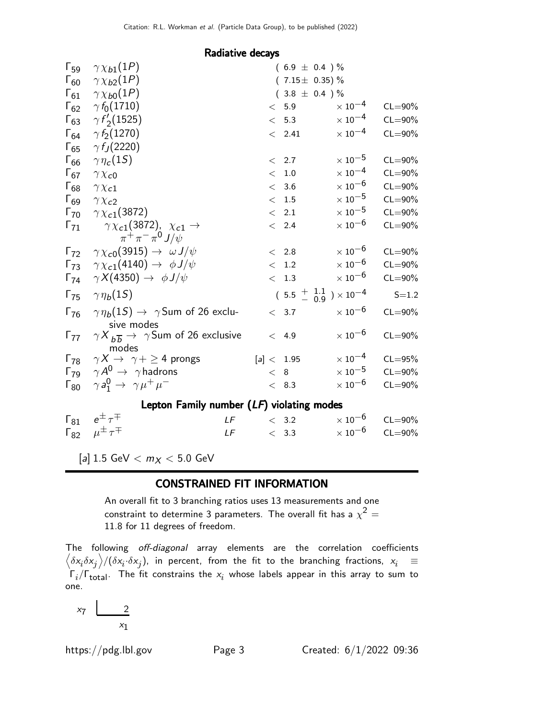| Radiative decays |  |
|------------------|--|
|------------------|--|

| $\Gamma_{59}$          | $\gamma \chi_{b1}(1P)$                                                     | $(6.9 \pm 0.4) \%$                                 |                           |             |
|------------------------|----------------------------------------------------------------------------|----------------------------------------------------|---------------------------|-------------|
| $\Gamma_{60}$          | $\gamma \chi_{b2}(1P)$                                                     | $(7.15 \pm 0.35)\%$                                |                           |             |
| $\Gamma_{61}$          | $\gamma \chi_{b0}(1P)$                                                     | $(3.8 \pm 0.4) \%$                                 |                           |             |
| $\Gamma_{62}$          | $\gamma f_0(1710)$                                                         | < 5.9                                              | $\times$ 10 <sup>-4</sup> | $CL = 90\%$ |
| $\Gamma_{63}$          | $\gamma f'_{2}(1525)$                                                      | < 5.3                                              | $\times$ 10 <sup>-4</sup> | $CL = 90\%$ |
| $\Gamma_{64}$          | $\gamma f_2(1270)$                                                         | < 2.41                                             | $\times$ 10 <sup>-4</sup> | $CL = 90\%$ |
| $\Gamma_{65}$          | $\gamma f_J(2220)$                                                         |                                                    |                           |             |
| $\Gamma_{66}$          | $\gamma \eta_c(1S)$                                                        | < 2.7                                              | $\times$ 10 $^{-5}$       | $CL = 90\%$ |
| $\Gamma_{67}$          | $\gamma \chi_{c0}$                                                         | < 1.0                                              | $\times$ 10 <sup>-4</sup> | $CL = 90\%$ |
| $\Gamma_{68}$          | $\gamma \chi_{c1}$                                                         | < 3.6                                              | $\times$ 10 $^{-6}$       | $CL = 90\%$ |
| $\Gamma_{69}$          | $\gamma \chi_{c2}$                                                         | $\rm <~1.5$                                        | $\times$ $10^{-5}$        | $CL = 90\%$ |
| $\Gamma_{70}$          | $\gamma \chi_{c1}(3872)$                                                   | $\langle$ 2.1                                      | $\times$ 10 $^{-5}$       | $CL = 90\%$ |
| $\Gamma_{71}$          | $\gamma \chi_{c1}(3872)$ , $\chi_{c1} \to$<br>$\pi^+\pi^-\pi^0 J/\psi$     | < 2.4                                              | $\times$ 10 $^{-6}$       | $CL = 90\%$ |
| $\Gamma_{72}$          | $\gamma \chi_{c0}(3915) \rightarrow \omega J/\psi$                         | < 2.8                                              | $\times$ 10 <sup>-6</sup> | $CL = 90\%$ |
| $\Gamma_{73}$          | $\gamma \chi_{c1}(4140) \rightarrow \phi J/\psi$                           | < 1.2                                              | $\times$ 10 <sup>-6</sup> | $CL = 90\%$ |
| $\Gamma_{74}$          | $\gamma X(4350) \rightarrow \phi J/\psi$                                   | < 1.3                                              | $\times$ 10 <sup>-6</sup> | $CL = 90\%$ |
| $\Gamma_{75}$          | $\gamma \eta_b(1S)$                                                        | $(5.5 \frac{+}{-} \frac{1.1}{0.9}) \times 10^{-4}$ |                           | $S = 1.2$   |
| $\Gamma_{76}$          | $\gamma \eta_b(1S) \rightarrow \gamma$ Sum of 26 exclu-<br>sive modes      | < 3.7                                              | $\times$ 10 <sup>-6</sup> | $CL = 90\%$ |
| $\Gamma_{77}$          | $\gamma X_{b\overline{b}} \rightarrow \gamma$ Sum of 26 exclusive<br>modes | < 4.9                                              | $\times$ 10 <sup>-6</sup> | $CL = 90\%$ |
| $\Gamma_{78}$          | $\gamma X \rightarrow \gamma + \geq 4$ prongs                              | [a] < 1.95                                         | $\times$ 10 <sup>-4</sup> | $CL = 95%$  |
| $\Gamma_{79}$          | $\gamma A^0 \rightarrow \gamma$ hadrons                                    | < 8                                                | $\times$ $10^{-5}$        | $CL = 90\%$ |
| $\mathsf{\Gamma}_{80}$ | $\gamma a_1^0 \rightarrow \gamma \mu^+ \mu^-$                              | < 8.3                                              | $\times$ 10 $^{-6}$       | $CL = 90\%$ |
|                        | Lepton Family number $(LF)$ violating modes                                |                                                    |                           |             |
| $\Gamma_{81}$          | $e^{\pm}$ $\tau^{\mp}$<br>LF                                               | < 3.2                                              | $\times$ 10 $^{-6}$       | $CL = 90\%$ |
| $\Gamma_{82}$          | $\mu^{\pm} \tau^{\mp}$<br>LF                                               | < 3.3                                              | $\times$ 10 <sup>-6</sup> | $CL = 90\%$ |

[a]  $1.5 \text{ GeV} < m_X < 5.0 \text{ GeV}$ 

#### CONSTRAINED FIT INFORMATION

An overall fit to 3 branching ratios uses 13 measurements and one constraint to determine 3 parameters. The overall fit has a  $\chi^2 =$ 11.8 for 11 degrees of freedom.

The following off-diagonal array elements are the correlation coefficients  $\left<\delta x_i\delta x_j\right>$ / $(\delta x_i\cdot\delta x_j)$ , in percent, from the fit to the branching fractions,  $x_i$   $\;\equiv$  $\Gamma_i/\Gamma_{\rm total}$ . The fit constrains the  $x_i$  whose labels appear in this array to sum to one.

$$
x_7 \quad \underbrace{\qquad \qquad }_{x_1}
$$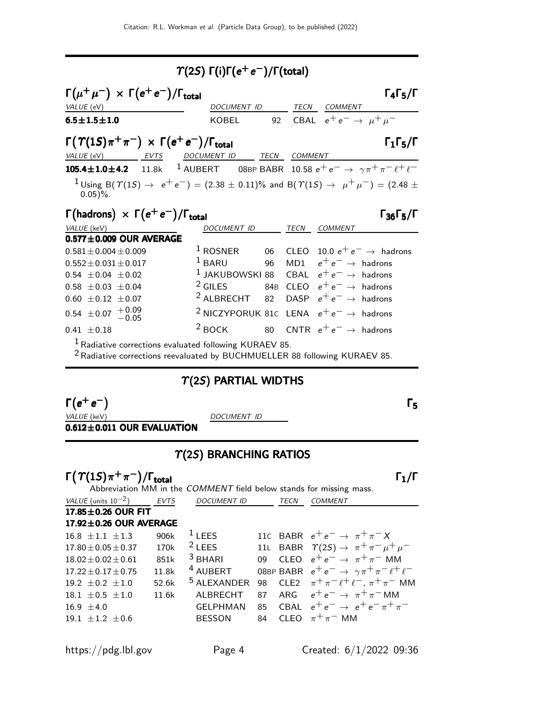| $\Upsilon(2S) \Gamma(i) \Gamma(e^+e^-) / \Gamma(\text{total})$                                                                                                                                                                                                                                                                               |                                                                                                                                                                                                                                                                                               |  |      |                                                                                                     |                                           |  |  |  |
|----------------------------------------------------------------------------------------------------------------------------------------------------------------------------------------------------------------------------------------------------------------------------------------------------------------------------------------------|-----------------------------------------------------------------------------------------------------------------------------------------------------------------------------------------------------------------------------------------------------------------------------------------------|--|------|-----------------------------------------------------------------------------------------------------|-------------------------------------------|--|--|--|
| $\Gamma(\mu^+\mu^-) \times \Gamma(e^+e^-)/\Gamma_{\text{total}}$<br>$\Gamma_4\Gamma_5/\Gamma$<br>VALUE (eV)<br>DOCUMENT ID<br>TECN COMMENT                                                                                                                                                                                                   |                                                                                                                                                                                                                                                                                               |  |      |                                                                                                     |                                           |  |  |  |
| $6.5 \pm 1.5 \pm 1.0$                                                                                                                                                                                                                                                                                                                        | KOBEL 92 CBAL $e^+e^- \rightarrow \mu^+\mu^-$                                                                                                                                                                                                                                                 |  |      |                                                                                                     |                                           |  |  |  |
| $\Gamma(\Upsilon(1S)\pi^+\pi^-) \times \Gamma(e^+e^-)/\Gamma_{\text{total}}$<br>$\Gamma_1\Gamma_5/\Gamma$<br>VALUE (eV) EVTS DOCUMENT ID TECN COMMENT                                                                                                                                                                                        |                                                                                                                                                                                                                                                                                               |  |      |                                                                                                     |                                           |  |  |  |
| <b>105.4±1.0±4.2</b> 11.8k <sup>1</sup> AUBERT 08BP BABR 10.58 $e^+e^- \rightarrow \gamma \pi^+ \pi^- \ell^+ \ell^-$<br>$1$ Using B( $\Upsilon(15) \rightarrow e^+e^-$ ) = (2.38 $\pm$ 0.11)% and B( $\Upsilon(15) \rightarrow \mu^+\mu^-$ ) = (2.48 $\pm$<br>$0.05\%$ .<br>$\Gamma$ (hadrons) $\times \Gamma(e^+e^-)/\Gamma_{\text{total}}$ |                                                                                                                                                                                                                                                                                               |  |      |                                                                                                     |                                           |  |  |  |
| VALUE (keV)                                                                                                                                                                                                                                                                                                                                  | DOCUMENT ID                                                                                                                                                                                                                                                                                   |  | TECN | <b>COMMENT</b>                                                                                      | $\Gamma_{36}\Gamma_{5}/\Gamma$            |  |  |  |
| $0.577 \pm 0.009$ OUR AVERAGE<br>$0.581 \pm 0.004 \pm 0.009$<br>$0.552 \pm 0.031 \pm 0.017$<br>$0.54 \pm 0.04 \pm 0.02$<br>$0.58 \pm 0.03 \pm 0.04$<br>$0.60 \pm 0.12 \pm 0.07$<br>$0.54 \pm 0.07 + 0.09$<br>$0.41 \pm 0.18$<br>$1$ Radiative corrections evaluated following KURAEV 85                                                      | $1$ ROSNER<br>$1$ BARU<br><sup>1</sup> JAKUBOWSKI 88 CBAL $e^+e^- \rightarrow$ hadrons<br><sup>2</sup> GILES 84B CLEO $e^+e^- \rightarrow$ hadrons<br><sup>2</sup> ALBRECHT 82 DASP $e^+e^- \rightarrow$ hadrons<br><sup>2</sup> NICZYPORUK 81c LENA $e^+e^- \rightarrow$ hadrons<br>$2$ BOCK |  |      | 96 MD1 $e^+e^- \rightarrow$ hadrons<br>80 $\,$ CNTR $\,$ e $^+$ e $^-\,$ $\rightarrow$ $\,$ hadrons | 06 CLEO 10.0 $e^+e^- \rightarrow$ hadrons |  |  |  |

Radiative corrections evaluated following KURAEV 85.

2Radiative corrections reevaluated by BUCHMUELLER 88 following KURAEV 85.

## $\Upsilon(2S)$  PARTIAL WIDTHS

 $\Gamma(e^+e^-)$  $(e^+e^-)$ 

VALUE (keV) DOCUMENT ID

 $0.612\pm0.011$  OUR EVALUATION

## $\Upsilon(2S)$  BRANCHING RATIOS

| $\Gamma(\Upsilon(1S)\pi^+\pi^-)/\Gamma_{\rm total}$ |             |                                                                     |    |      |                                                                 |
|-----------------------------------------------------|-------------|---------------------------------------------------------------------|----|------|-----------------------------------------------------------------|
|                                                     |             | Abbreviation MM in the COMMENT field below stands for missing mass. |    |      |                                                                 |
| VALUE (units $10^{-2}$ )                            | <b>EVTS</b> | <b>DOCUMENT ID</b>                                                  |    | TECN | <b>COMMENT</b>                                                  |
| 17.85±0.26 OUR FIT                                  |             |                                                                     |    |      |                                                                 |
| 17.92±0.26 OUR AVERAGE                              |             |                                                                     |    |      |                                                                 |
| $16.8 + 1.1 + 1.3$                                  | 906k        | $1$ LEES                                                            |    |      | 110 BABR $e^+e^- \rightarrow \pi^+\pi^-X$                       |
| $17.80 + 0.05 + 0.37$                               | 170k        | $2$ LEES                                                            |    |      | 11L BABR $\Upsilon(2S) \rightarrow \pi^+ \pi^- \mu^+ \mu^-$     |
| $18.02 + 0.02 + 0.61$                               | 851k        | $3$ BHARI                                                           | 0Q |      | CLEO $e^+e^- \rightarrow \pi^+\pi^-$ MM                         |
| $17.22 + 0.17 + 0.75$                               | 11.8k       | <sup>4</sup> AUBERT                                                 |    |      | 08BP BABR $e^+e^- \rightarrow \gamma \pi^+ \pi^- \ell^+ \ell^-$ |
| $19.2 + 0.2 + 1.0$                                  | 52.6k       | <sup>5</sup> ALEXANDER                                              | 98 |      | CLE2 $\pi^+ \pi^- \ell^+ \ell^-$ , $\pi^+ \pi^-$ MM             |
| $18.1 \pm 0.5 \pm 1.0$                              | 11.6k       | ALBRECHT                                                            | 87 |      | ARG $e^+e^- \rightarrow \pi^+\pi^-$ MM                          |
| $16.9 + 4.0$                                        |             | <b>GELPHMAN</b>                                                     | 85 |      | CBAL $e^+e^- \rightarrow e^+e^- \pi^+\pi^-$                     |
| $19.1 + 1.2 + 0.6$                                  |             | <b>BESSON</b>                                                       | 84 |      | CLEO $\pi^+\pi^-$ MM                                            |
|                                                     |             |                                                                     |    |      |                                                                 |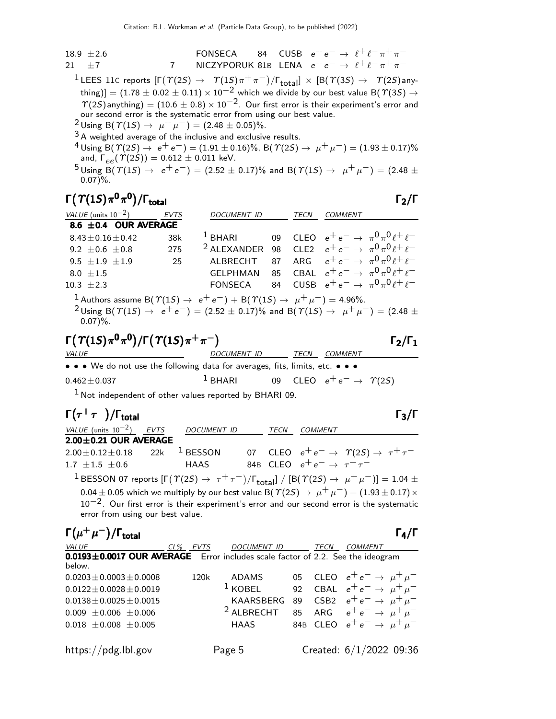| 18.9 $\pm$ 2.6 | FONSECA | 84             | CUSE | $e^+e^- \rightarrow \ell^+ \ell^- \pi^+ \pi^-$ |
|----------------|---------|----------------|------|------------------------------------------------|
| 21 $\pm$ 7     | 7       | NICZYPORUK 81B | LENA | $e^+e^- \rightarrow \ell^+ \ell^- \pi^+ \pi^-$ |

 $^1$ LEES 11C reports  $[\Gamma(\varUpsilon(2S) \to \varUpsilon(1S) \pi^+ \pi^-)/\Gamma_{\rm total}] \times [B(\varUpsilon(3S) \to \varUpsilon(2S)$ anything)]  $=(1.78\pm0.02\pm0.11)\times10^{-2}$  which we divide by our best value B(  $\varUpsilon(3S)\rightarrow$  $\gamma$ (2S)anything) = (10.6 ± 0.8) × 10<sup>-2</sup>. Our first error is their experiment's error and our second error is the systematic error from using our best value.

 $2 \text{ Using B}(\Upsilon(15) \rightarrow \mu^+ \mu^-) = (2.48 \pm 0.05)\%.$ 

3 A weighted average of the inclusive and exclusive results.

 $^{4}$  Using B(  $\mathcal{T}(2S) \rightarrow e^+e^-) = (1.91 \pm 0.16)\%$ , B(  $\mathcal{T}(2S) \rightarrow \mu^+ \mu^-) = (1.93 \pm 0.17)\%$ and,  $\Gamma_{ee}(\Upsilon(2S)) = 0.612 \pm 0.011$  keV.

 $5 \text{ Using } B(\Upsilon(15) \rightarrow e^+e^-) = (2.52 \pm 0.17)\%$  and  $B(\Upsilon(15) \rightarrow \mu^+ \mu^-) = (2.48 \pm 0.17)\%$  $0.07$ %.

#### Γ $(T(1S)\pi^{0}\pi^{0})/\Gamma_{\text{total}}$ /Γ $\Gamma$ total $\Gamma_2/\Gamma$

| VALUE (units $10^{-2}$ ) EVTS |     | <b>DOCUMENT ID</b>                                                            | TECN | <b>COMMENT</b> |                                                     |
|-------------------------------|-----|-------------------------------------------------------------------------------|------|----------------|-----------------------------------------------------|
| 8.6 $\pm$ 0.4 OUR AVERAGE     |     |                                                                               |      |                |                                                     |
| $8.43 \pm 0.16 \pm 0.42$      | 38k | $1$ BHARI                                                                     |      |                | 09 CLEO $e^+e^- \rightarrow \pi^0\pi^0\ell^+\ell^-$ |
| $9.2 \pm 0.6 \pm 0.8$ 275     |     | <sup>2</sup> ALEXANDER 98 CLE2 $e^+e^- \rightarrow \pi^0 \pi^0 \ell^+ \ell^-$ |      |                |                                                     |
| 9.5 $\pm 1.9$ $\pm 1.9$       | 25  | ALBRECHT 87 ARG $e^+e^- \rightarrow \pi^0 \pi^0 \ell^+ \ell^-$                |      |                |                                                     |
| $8.0 \pm 1.5$                 |     | GELPHMAN 85 CBAL $e^+e^- \rightarrow \pi^0 \pi^0 \ell^+ \ell^-$               |      |                |                                                     |
| $10.3 \pm 2.3$                |     | <b>FONSECA</b>                                                                |      |                | 84 CUSB $e^+e^- \to \pi^0 \pi^0 \ell^+ \ell^-$      |
|                               |     |                                                                               |      |                |                                                     |

Authors assume B $(\Upsilon(1S) \rightarrow e^+e^-) + B(\Upsilon(1S) \rightarrow \mu^+\mu^-) = 4.96\%.$ <sup>2</sup>Using B( $\Upsilon(1S)$  →  $e^+e^-$ ) = (2.52 ± 0.17)% and B( $\Upsilon(1S)$  →  $\mu^+\mu^-$ ) = (2.48 ±  $0.07$ %.

$$
\Gamma(\Upsilon(1S)\pi^0\pi^0)/\Gamma(\Upsilon(1S)\pi^+\pi^-)
$$

<sup>−</sup>

DOCUMENT ID TECN COMMENT • • • We do not use the following data for averages, fits, limits, etc. • • •  $0.462 \pm 0.037$  1 BHARI 09 CLEO  $e^+ e^- \rightarrow \gamma(25)$ 

 $1$  Not independent of other values reported by BHARI 09.

| $\Gamma(\tau^+\tau^-)/\Gamma_{\rm total}$                                                |             |                    |             |      |                                            |                                                                                                                                                                                                                                                                                                                                                                                                       |
|------------------------------------------------------------------------------------------|-------------|--------------------|-------------|------|--------------------------------------------|-------------------------------------------------------------------------------------------------------------------------------------------------------------------------------------------------------------------------------------------------------------------------------------------------------------------------------------------------------------------------------------------------------|
| VALUE (units $10^{-2}$ )                                                                 | <b>EVTS</b> | <b>DOCUMENT ID</b> |             | TECN | <b>COMMENT</b>                             |                                                                                                                                                                                                                                                                                                                                                                                                       |
| $2.00 \pm 0.21$ OUR AVERAGE                                                              |             |                    |             |      |                                            |                                                                                                                                                                                                                                                                                                                                                                                                       |
| $2.00 \pm 0.12 \pm 0.18$                                                                 | 22k         | $1$ BESSON         |             |      |                                            | 07 CLEO $e^+e^- \rightarrow \Upsilon(2S) \rightarrow \tau^+\tau^-$                                                                                                                                                                                                                                                                                                                                    |
| $1.7 + 1.5 + 0.6$                                                                        |             | <b>HAAS</b>        |             |      | 84B CLEO $e^+e^- \rightarrow \tau^+\tau^-$ |                                                                                                                                                                                                                                                                                                                                                                                                       |
| error from using our best value.                                                         |             |                    |             |      |                                            | <sup>1</sup> BESSON 07 reports $[\Gamma(\Upsilon(2S) \rightarrow \tau^+ \tau^-)/\Gamma_{\text{total}}] / [\mathcal{B}(\Upsilon(2S) \rightarrow \mu^+ \mu^-)] = 1.04 \pm$<br>0.04 $\pm$ 0.05 which we multiply by our best value B( $\Upsilon(2S) \rightarrow \mu^+ \mu^-) = (1.93 \pm 0.17) \times$<br>$10^{-2}$ . Our first error is their experiment's error and our second error is the systematic |
| $\Gamma(\mu^+\mu^-)/\Gamma_{\rm total}$                                                  |             |                    |             |      |                                            | $\Gamma_{4}/\Gamma$                                                                                                                                                                                                                                                                                                                                                                                   |
| VALUE                                                                                    |             | CL% EVTS           | DOCUMENT ID |      | TECN                                       | <i>COMMENT</i>                                                                                                                                                                                                                                                                                                                                                                                        |
| 0.0193±0.0017 OUR AVERAGE Error includes scale factor of 2.2. See the ideogram<br>below. |             |                    |             |      |                                            |                                                                                                                                                                                                                                                                                                                                                                                                       |

| $0.0203 \pm 0.0003 \pm 0.0008$<br>$0.0122 \pm 0.0028 \pm 0.0019$<br>$0.0138 \pm 0.0025 \pm 0.0015$<br>$0.009 \pm 0.006 \pm 0.006$<br>$0.018 \pm 0.008 \pm 0.005$ | 120k | ADAMS<br><sup>1</sup> KOBEL 92 CBAL $e^+e^- \rightarrow \mu^+\mu^-$<br>KAARSBERG 89 CSB2 $e^+e^- \rightarrow \mu^+\mu^-$<br><sup>2</sup> ALBRECHT 85 ARG $e^+e^- \rightarrow \mu^+\mu^-$<br>HAAS |  | 05 CLEO $e^+e^- \to \mu^+\mu^-$<br>84B CLEO $e^+e^- \rightarrow \mu^+\mu^-$ |  |
|------------------------------------------------------------------------------------------------------------------------------------------------------------------|------|--------------------------------------------------------------------------------------------------------------------------------------------------------------------------------------------------|--|-----------------------------------------------------------------------------|--|
| https://pdg.lbl.gov                                                                                                                                              |      | Page 5                                                                                                                                                                                           |  | Created: 6/1/2022 09:36                                                     |  |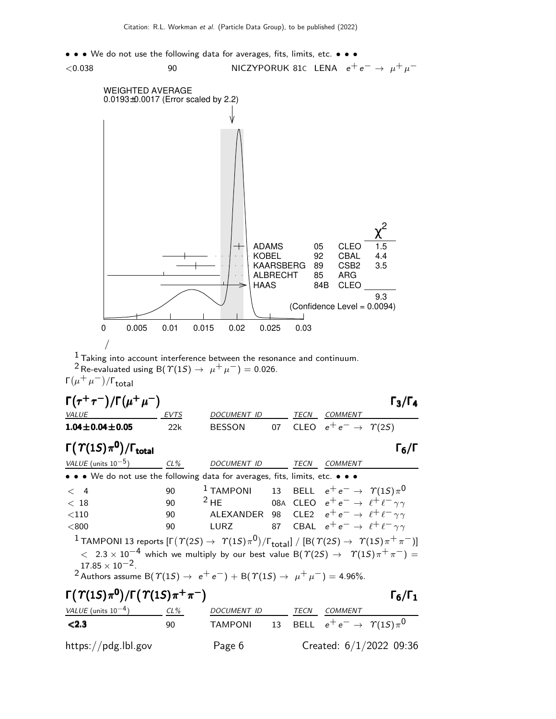



 $1$  Taking into account interference between the resonance and continuum. <sup>2</sup> Re-evaluated using B( $\Upsilon(1S) \rightarrow \mu^+ \mu^-) = 0.026$ .

Γ $(\mu^+ \mu^-)/$ Γ<sub>total</sub>

| $\Gamma(\tau^+\tau^-)/\Gamma(\mu^+\mu^-)$<br>$\Gamma_3/\Gamma_4$                                                                                                                                                                                                                                                                                                                                                                          |        |                    |    |      |                                                           |                           |  |  |
|-------------------------------------------------------------------------------------------------------------------------------------------------------------------------------------------------------------------------------------------------------------------------------------------------------------------------------------------------------------------------------------------------------------------------------------------|--------|--------------------|----|------|-----------------------------------------------------------|---------------------------|--|--|
| <b>VALUE</b>                                                                                                                                                                                                                                                                                                                                                                                                                              | EVTS   | DOCUMENT ID        |    | TECN | COMMENT                                                   |                           |  |  |
| $1.04 \pm 0.04 \pm 0.05$                                                                                                                                                                                                                                                                                                                                                                                                                  | 22k    | BESSON             | 07 |      | CLEO $e^+e^- \rightarrow \Upsilon(2S)$                    |                           |  |  |
| $\Gamma(\Upsilon(1S)\pi^0)/\Gamma_{\rm total}$                                                                                                                                                                                                                                                                                                                                                                                            |        |                    |    |      |                                                           | $\Gamma_6/\Gamma$         |  |  |
| VALUE (units $10^{-5}$ )                                                                                                                                                                                                                                                                                                                                                                                                                  | $CL\%$ | DOCUMENT ID        |    | TECN | <b>COMMENT</b>                                            |                           |  |  |
| • • • We do not use the following data for averages, fits, limits, etc. • • •                                                                                                                                                                                                                                                                                                                                                             |        |                    |    |      |                                                           |                           |  |  |
| $\lt$ 4                                                                                                                                                                                                                                                                                                                                                                                                                                   | 90     | $1$ TAMPONI        |    |      | 13 BELL $e^+e^- \rightarrow \gamma(15)\pi^0$              |                           |  |  |
| < 18                                                                                                                                                                                                                                                                                                                                                                                                                                      | 90     | $2$ HE             |    |      | 08A CLEO $e^+e^- \rightarrow \ell^+ \ell^- \gamma \gamma$ |                           |  |  |
| $<$ 110                                                                                                                                                                                                                                                                                                                                                                                                                                   | 90     | ALEXANDER 98       |    |      | CLE2 $e^+e^- \rightarrow \ell^+\ell^-\gamma\gamma$        |                           |  |  |
| < 800                                                                                                                                                                                                                                                                                                                                                                                                                                     | 90     | LURZ               |    |      | 87 CBAL $e^+e^- \rightarrow \ell^+ \ell^- \gamma \gamma$  |                           |  |  |
| <sup>1</sup> TAMPONI 13 reports $[\Gamma(\Upsilon(2S) \to \Upsilon(1S) \pi^0)/\Gamma_{\text{total}}] / [B(\Upsilon(2S) \to \Upsilon(1S) \pi^+ \pi^-)]$<br>$< 2.3 \times 10^{-4}$ which we multiply by our best value B( $\Upsilon(2S) \rightarrow \Upsilon(1S)\pi^{+}\pi^{-}$ ) =<br>$17.85 \times 10^{-2}$ .<br><sup>2</sup> Authors assume B( $\Upsilon(15) \rightarrow e^+e^-$ ) + B( $\Upsilon(15) \rightarrow \mu^+\mu^-$ ) = 4.96%. |        |                    |    |      |                                                           |                           |  |  |
| $\Gamma(\Upsilon(1S)\pi^0)/\Gamma(\Upsilon(1S)\pi^+\pi^-)$<br>$\Gamma_6/\Gamma_1$                                                                                                                                                                                                                                                                                                                                                         |        |                    |    |      |                                                           |                           |  |  |
| VALUE (units $10^{-4}$ )                                                                                                                                                                                                                                                                                                                                                                                                                  | CL%    | <b>DOCUMENT ID</b> |    | TECN | COMMENT                                                   |                           |  |  |
| < 2.3                                                                                                                                                                                                                                                                                                                                                                                                                                     | 90     | <b>TAMPONI</b>     | 13 |      | BELL $e^+e^- \rightarrow \gamma(15)\pi^0$                 |                           |  |  |
| https://pdg.lbl.gov                                                                                                                                                                                                                                                                                                                                                                                                                       |        | Page 6             |    |      |                                                           | Created: $6/1/2022$ 09:36 |  |  |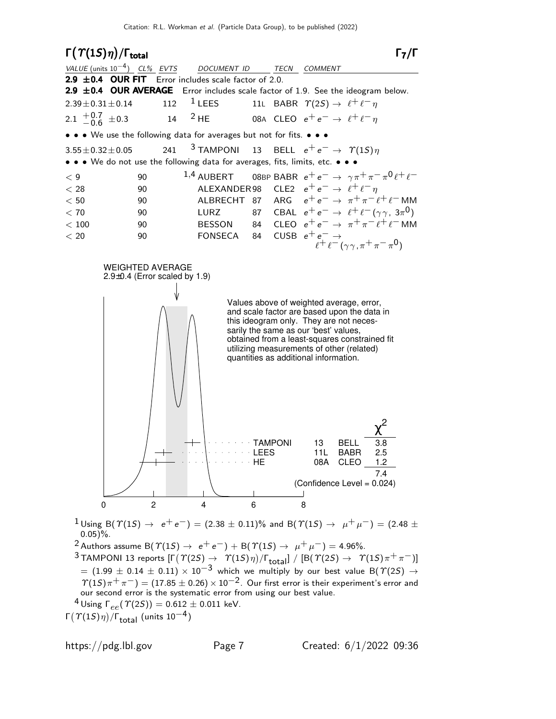$\Gamma(\Upsilon(1S)\eta)/\Gamma_{\text{total}}$  Γ<sub>7</sub>/Γ  $\Gamma_7/\Gamma$ VALUE (units 10<sup>-4</sup>) CL% EVTS DOCUMENT ID TECN COMMENT 2.9  $\pm$  0.4 OUR FIT Error includes scale factor of 2.0. **2.9 ±0.4 OUR AVERAGE** Error includes scale factor of 1.9. See the ideogram below.<br>2.39±0.31±0.14 112 <sup>1</sup> LEES 11L BABR  $\Upsilon(2S) \rightarrow \ell^+ \ell^- n$  $2.39 \pm 0.31 \pm 0.14$  112 <sup>1</sup> LEES 11L BABR  $\Upsilon(2S) \to \ell^+ \ell^- \eta$  $2.1 \t +0.7 \t 0.6$  $-0.6$  $\pm 0.3$  14 <sup>2</sup> HE 08A CLEO  $e^+e^- \rightarrow \ell^+ \ell^- \eta$ • • • We use the following data for averages but not for fits. • • •  $3.55 \pm 0.32 \pm 0.05$  241  $3$  TAMPONI 13 BELL  $e^+e^- \rightarrow \gamma(15)\eta$ • • • We do not use the following data for averages, fits, limits, etc. • • •  $<$  90  ${}^{1,4}$  AUBERT 08BP BABR  $e^+e^- \rightarrow \gamma \pi^+ \pi^- \pi^0 \ell^+ \ell^ < 28$  90 ALEXANDER 98 CLE2  $e^+ e^- \rightarrow \ell^+ \ell^- \eta$  $< 50$  90 ALBRECHT 87 ARG  $e^+e^- \rightarrow \pi^+\pi^-\ell^+\ell^-$ MM  $<$  70  $\,$  90  $\,$  LURZ  $\,$  87  $\,$  CBAL  $\,$  e $^{+}$  e $^{-}$   $\rightarrow$   $\,$   $\ell^{+}$   $\ell^{-}$   $(\gamma\gamma,\,$   $3\pi^{0})$  $< 100$  90 BESSON 84 CLEO  $e^+e^- \rightarrow \pi^+\pi^- \ell^+ \ell^-$ MM  $<$  20 90 FONSECA 84 CUSB  $e^+e^- \rightarrow$  $e^+e^-(\gamma\gamma,\pi^+\pi^-\pi^0)$ WEIGHTED AVERAGE 2.9±0.4 (Error scaled by 1.9) Values above of weighted average, error, and scale factor are based upon the data in this ideogram only. They are not necessarily the same as our 'best' values, obtained from a least-squares constrained fit utilizing measurements of other (related) quantities as additional information. 08A CLEO LEES 11L BABR 2.5 TAMPONI 13 BELL χ 2 7.4 (Confidence Level = 0.024) 0 2 4 6 8  $1$  Using B( $\Upsilon(15) \rightarrow e^+e^-$ ) = (2.38  $\pm$  0.11)% and B( $\Upsilon(15) \rightarrow \mu^+ \mu^-$ ) = (2.48  $\pm$  $0.05$ )%. <sup>2</sup> Authors assume B( $\Upsilon(1S) \rightarrow e^+e^-$ ) + B( $\Upsilon(1S) \rightarrow \mu^+\mu^-$ ) = 4.96%.

- $3$  TAMPONI 13 reports  $[\Gamma(\varUpsilon(2S) \to \varUpsilon(1S) \eta)/\Gamma_{\text{total}}] / [\mathsf{B}(\varUpsilon(2S) \to \varUpsilon(1S) \pi^+ \pi^-)]$  $=$   $(1.99 \pm 0.14 \pm 0.11) \times 10^{-3}$  which we multiply by our best value B $(\Upsilon(25) \rightarrow$  $\mathcal{T}(1S)\pi^+\pi^-$  =  $(17.85\pm0.26)\times10^{-2}$ . Our first error is their experiment's error and our second error is the systematic error from using our best value.
- $^{4}$ Using  $\Gamma_{ee}(\Upsilon(2S)) = 0.612 \pm 0.011$  keV.
- Γ $(\Upsilon(1S)\eta)/\Gamma_{\rm total}$  (units  $10^{-4})$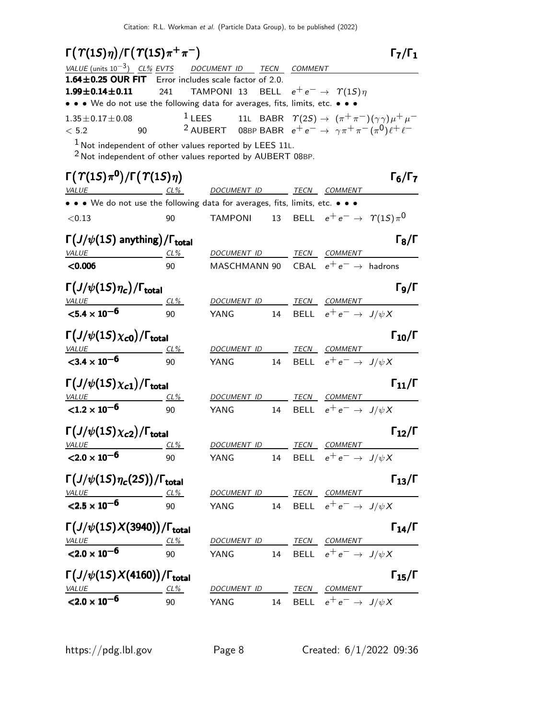| $\Gamma(\varUpsilon(1S)\eta)/\Gamma(\varUpsilon(1S)\pi^+\pi^-)$                                                           |            |                                                                                                |             |             |                                              | $\Gamma_7/\Gamma_1$  |
|---------------------------------------------------------------------------------------------------------------------------|------------|------------------------------------------------------------------------------------------------|-------------|-------------|----------------------------------------------|----------------------|
| VALUE (units $10^{-3}$ ) CL% EVTS DOCUMENT ID                                                                             |            |                                                                                                | <b>TECN</b> | COMMENT     |                                              |                      |
| 1.64±0.25 OUR FIT Error includes scale factor of 2.0.                                                                     |            |                                                                                                |             |             |                                              |                      |
| $1.99 \pm 0.14 \pm 0.11$                                                                                                  | 241        | TAMPONI 13                                                                                     | BELL        |             | $e^+e^- \rightarrow \gamma(1S)\eta$          |                      |
| • • • We do not use the following data for averages, fits, limits, etc. • • •                                             |            |                                                                                                |             |             |                                              |                      |
| $1.35 \pm 0.17 \pm 0.08$                                                                                                  |            | <sup>1</sup> LEES 11L BABR $\Upsilon(2S) \rightarrow (\pi^+ \pi^-)(\gamma \gamma) \mu^+ \mu^-$ |             |             |                                              |                      |
| < 5.2                                                                                                                     | 90         | <sup>2</sup> AUBERT 08BP BABR $e^+e^- \rightarrow \gamma \pi^+ \pi^- (\pi^0) \ell^+ \ell^-$    |             |             |                                              |                      |
| $1$ Not independent of other values reported by LEES 11L.<br>$2$ Not independent of other values reported by AUBERT 08BP. |            |                                                                                                |             |             |                                              |                      |
| $\Gamma(\Upsilon(1S)\pi^0)/\Gamma(\Upsilon(1S)\eta)$                                                                      |            |                                                                                                |             |             |                                              | $\Gamma_6/\Gamma_7$  |
| <b>VALUE</b>                                                                                                              | $CL\%$     | DOCUMENT ID                                                                                    |             |             | <b>TECN COMMENT</b>                          |                      |
| • • • We do not use the following data for averages, fits, limits, etc. • • •                                             |            |                                                                                                |             |             |                                              |                      |
| < 0.13                                                                                                                    | 90         | <b>TAMPONI</b>                                                                                 |             |             | 13 BELL $e^+e^- \rightarrow \gamma(15)\pi^0$ |                      |
|                                                                                                                           |            |                                                                                                |             |             |                                              |                      |
| $\Gamma(J/\psi(1S)$ anything)/ $\Gamma_{total}$                                                                           |            |                                                                                                |             |             |                                              | $\Gamma_8/\Gamma$    |
| <b>VALUE</b>                                                                                                              | $CL\%$     | <u>DOCUMENT ID</u>                                                                             |             | <b>TECN</b> | <b>COMMENT</b>                               |                      |
| < 0.006                                                                                                                   | 90         | MASCHMANN 90 CBAL $e^+e^- \rightarrow$ hadrons                                                 |             |             |                                              |                      |
| $\Gamma\left(J/\psi(1S)\eta_c\right)/\Gamma_{\rm total}$                                                                  |            |                                                                                                |             |             |                                              | $\Gamma_9/\Gamma$    |
| <u>VALUE</u>                                                                                                              | CL%        | DOCUMENT ID TECN COMMENT                                                                       |             |             |                                              |                      |
| $\overline{$ <5.4 $\times$ 10 <sup>-6</sup>                                                                               | 90         | YANG                                                                                           | 14          |             | BELL $e^+e^- \rightarrow J/\psi X$           |                      |
| $\Gamma\left(J/\psi(1S)\chi_{\text{c}0}\right)/\Gamma_{\text{total}}$                                                     |            |                                                                                                |             |             |                                              | $\Gamma_{10}/\Gamma$ |
| <b>VALUE</b>                                                                                                              | $CL\%$     | <u>DOCUMENT ID TECN COMMENT</u>                                                                |             |             |                                              |                      |
| $<$ 3.4 $\times$ 10 <sup>-6</sup>                                                                                         | 90         | YANG                                                                                           | 14          |             | BELL $e^+e^- \rightarrow J/\psi X$           |                      |
| $\Gamma(J/\psi(1S)\chi_{c1})/\Gamma_{\rm total}$                                                                          |            |                                                                                                |             |             |                                              | $\Gamma_{11}/\Gamma$ |
| <u>VALUE</u>                                                                                                              | $CL\%$     | DOCUMENT ID                                                                                    |             |             | TECN COMMENT                                 |                      |
| $< 1.2 \times 10^{-6}$                                                                                                    | 90         | YANG                                                                                           | 14          |             | BELL $e^+e^- \rightarrow J/\psi X$           |                      |
| $\Gamma(J/\psi(1S)\chi_{c2})/\Gamma_{\rm total}$                                                                          |            |                                                                                                |             |             |                                              | $\Gamma_{12}/\Gamma$ |
| $VALU E$ CL%                                                                                                              |            | DOCUMENT ID                                                                                    |             |             | <b>TECN COMMENT</b>                          |                      |
| $<$ 2.0 $\times 10^{-6}$                                                                                                  | 90         | YANG                                                                                           | 14          |             | BELL $e^+e^- \rightarrow J/\psi X$           |                      |
|                                                                                                                           |            |                                                                                                |             |             |                                              |                      |
| $\Gamma\left(J/\psi(1S)\eta_c(2S)\right)/\Gamma_{\rm total}$                                                              |            |                                                                                                |             |             |                                              | $\Gamma_{13}/\Gamma$ |
|                                                                                                                           | <u>CL%</u> | DOCUMENT ID                                                                                    |             |             | TECN COMMENT                                 |                      |
| $<$ 2.5 $\times$ 10 <sup>-6</sup>                                                                                         | 90         | YANG                                                                                           |             |             | 14 BELL $e^+e^- \rightarrow J/\psi X$        |                      |
| $\Gamma\big(J/\psi(1S)X(3940)\big)/\Gamma_{\rm total}$                                                                    |            |                                                                                                |             |             |                                              | $\Gamma_{14}/\Gamma$ |
|                                                                                                                           | <u>CL%</u> | DOCUMENT ID TECN COMMENT                                                                       |             |             |                                              |                      |
| $\frac{VALUE}{<}$ 2.0 $\times$ 10 <sup>-6</sup>                                                                           | 90         | YANG                                                                                           |             |             | 14 BELL $e^+e^- \rightarrow J/\psi X$        |                      |
| $\Gamma\left(J/\psi(1S)X(4160)\right)/\Gamma_{\rm total}$                                                                 |            |                                                                                                |             |             |                                              | $\Gamma_{15}/\Gamma$ |
|                                                                                                                           | CL%        | DOCUMENT ID TECN COMMENT                                                                       |             |             |                                              |                      |
| VALUE<br>$\langle 2.0 \times 10^{-6}$                                                                                     | 90         | YANG                                                                                           |             |             | 14 BELL $e^+e^- \rightarrow J/\psi X$        |                      |
|                                                                                                                           |            |                                                                                                |             |             |                                              |                      |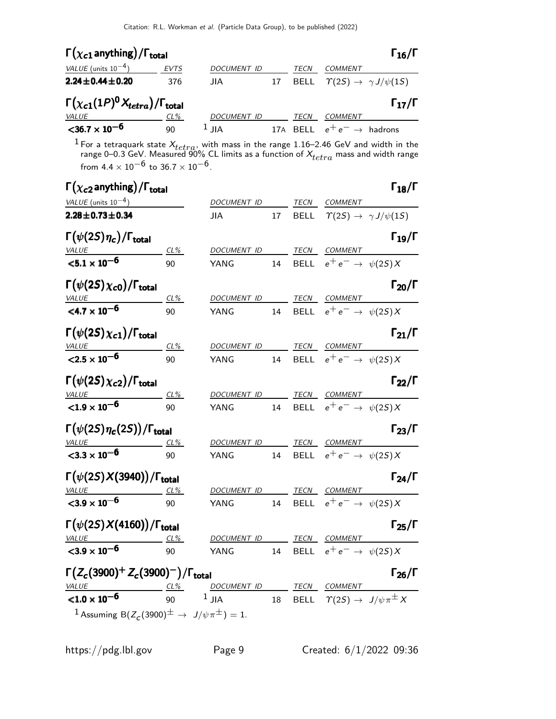| $\Gamma(\chi_{c1}$ anything) / $\Gamma_{total}$         |             |                    |    |      |                                              | $\Gamma_{16}/\Gamma$ |
|---------------------------------------------------------|-------------|--------------------|----|------|----------------------------------------------|----------------------|
| VALUE (units $10^{-4}$ )                                | <b>EVTS</b> | <b>DOCUMENT ID</b> |    | TECN | COMMENT                                      |                      |
| $2.24 \pm 0.44 \pm 0.20$                                | 376         | JIA.               | 17 | BELL | $\Upsilon(2S) \rightarrow \gamma J/\psi(1S)$ |                      |
|                                                         |             |                    |    |      |                                              |                      |
| $\Gamma(\chi_{c1}(1P)^{0}X_{tetra})/\Gamma_{\rm total}$ |             |                    |    |      |                                              | $\Gamma_{17}/\Gamma$ |
| <i>VALUE</i>                                            | $CL\%$      | <b>DOCUMENT ID</b> |    | TECN | <b>COMMENT</b>                               |                      |

<sup>1</sup> For a tetraquark state  $X_{tetra}$ , with mass in the range 1.16–2.46 GeV and width in the range 0–0.3 GeV. Measured 90% CL limits as a function of  $X_{tetra}$  mass and width range from 4.4  $\times$   $10^{-6}$  to 36.7  $\times$   $10^{-6}$ .

| $\Gamma(\chi_{\bf c2})$ anything) / $\Gamma_{\bf total}$                       |        |                          |    |             |                                                    | $\Gamma_{18}/\Gamma$ |
|--------------------------------------------------------------------------------|--------|--------------------------|----|-------------|----------------------------------------------------|----------------------|
| VALUE (units $10^{-4}$ )                                                       |        | DOCUMENT ID              |    |             | TECN COMMENT                                       |                      |
| $2.28 \pm 0.73 \pm 0.34$                                                       |        | JIA.                     | 17 |             | BELL $\Upsilon(2S) \rightarrow \gamma J/\psi(1S)$  |                      |
| $\Gamma(\psi(2S)\eta_c)/\Gamma_{\rm total}$<br><b>VALUE</b>                    | $CL\%$ | DOCUMENT ID TECN COMMENT |    |             |                                                    | $\Gamma_{19}/\Gamma$ |
| ${<}5.1 \times 10^{-6}$                                                        | 90     | YANG                     | 14 |             | BELL $e^+e^- \rightarrow \psi(2S)X$                |                      |
| $\Gamma(\psi(2S)\chi_{c0})/\Gamma_{\rm total}$                                 |        |                          |    |             |                                                    | $\Gamma_{20}/\Gamma$ |
| <b>VALUE</b>                                                                   | CL%    | DOCUMENT ID TECN COMMENT |    |             |                                                    |                      |
| $<$ 4.7 $\times$ 10 <sup>-6</sup>                                              | 90     | YANG                     | 14 |             | BELL $e^+e^- \rightarrow \psi(2S)X$                |                      |
| $\Gamma(\psi(2S)\chi_{c1})/\Gamma_{\rm total}$                                 |        |                          |    |             |                                                    | $\Gamma_{21}/\Gamma$ |
| VALUE                                                                          | CL%    | DOCUMENT ID TECN COMMENT |    |             |                                                    |                      |
| $<$ 2.5 $\times$ 10 <sup>-6</sup>                                              | 90     | YANG                     | 14 |             | BELL $e^+e^- \rightarrow \psi(2S)X$                |                      |
| $\Gamma(\psi(2S)\chi_{c2})/\Gamma_{\rm total}$                                 |        |                          |    |             |                                                    | $\Gamma_{22}/\Gamma$ |
| VALUE                                                                          | CL%    | DOCUMENT ID TECN COMMENT |    |             |                                                    |                      |
| ${<}1.9 \times 10^{-6}$                                                        | 90     | YANG                     | 14 |             | BELL $e^+e^- \rightarrow \psi(2S)X$                |                      |
| $\Gamma(\psi(2S)\eta_c(2S))/\Gamma_{\rm total}$                                |        |                          |    |             |                                                    | $\Gamma_{23}/\Gamma$ |
| VALU E                                                                         | CL%    | DOCUMENT ID              |    |             | TECN COMMENT                                       |                      |
| $<$ 3.3 $\times$ 10 <sup>-6</sup>                                              | 90     | YANG                     | 14 |             | BELL $e^+e^- \rightarrow \psi(2S)X$                |                      |
| $\Gamma(\psi(2S)X(3940))/\Gamma_{\text{total}}$                                |        |                          |    |             |                                                    | $\Gamma_{24}/\Gamma$ |
| VALUE                                                                          | CL%    | DOCUMENT ID              |    | <b>TECN</b> | <b>COMMENT</b>                                     |                      |
| $<$ 3.9 $\times$ 10 <sup>-6</sup>                                              | 90     | YANG                     | 14 |             | BELL $e^+e^- \rightarrow \psi(2S)X$                |                      |
| $\Gamma(\psi(2S)X(4160))/\Gamma_{\rm total}$                                   |        |                          |    |             |                                                    | $\Gamma_{25}/\Gamma$ |
| $VALU E$ CL%                                                                   |        | DOCUMENT ID              |    |             | TECN COMMENT                                       |                      |
| $3.9 \times 10^{-6}$                                                           | 90     | YANG                     | 14 |             | BELL $e^+e^- \rightarrow \psi(2S)X$                |                      |
| $\Gamma(Z_c(3900)^+ Z_c(3900)^-) / \Gamma_{\text{total}}$                      |        |                          |    |             |                                                    | $\Gamma_{26}/\Gamma$ |
| $VALUE  CL%  DOCUMENT ID  $                                                    |        |                          |    |             | TECN COMMENT                                       |                      |
| ${<}1.0 \times 10^{-6}$                                                        | 90     | $1$ JIA                  | 18 |             | BELL $\Upsilon(2S) \rightarrow J/\psi \pi^{\pm} X$ |                      |
| <sup>1</sup> Assuming B $(Z_c(3900)^{\pm} \rightarrow J/\psi \pi^{\pm}) = 1$ . |        |                          |    |             |                                                    |                      |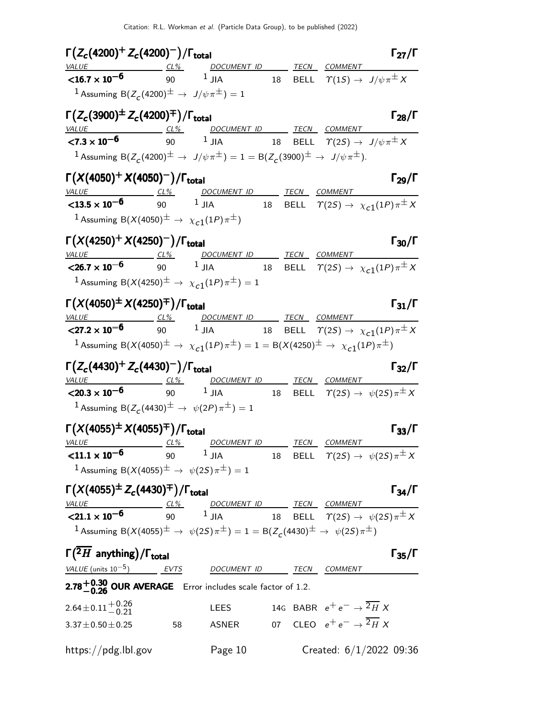| $\Gamma(Z_c(4200)^+ Z_c(4200)^-) / \Gamma_{\text{total}}$                                                                                                                                                           |            |                                                                                                                                   |  |                                                    | $\Gamma_{27}/\Gamma$      |
|---------------------------------------------------------------------------------------------------------------------------------------------------------------------------------------------------------------------|------------|-----------------------------------------------------------------------------------------------------------------------------------|--|----------------------------------------------------|---------------------------|
| $\frac{VALUE}{16.7 \times 10^{-6}}$ $\frac{CL\%}{90}$                                                                                                                                                               |            | DOCUMENT ID TECN COMMENT<br>$1$ JIA                                                                                               |  | 18 BELL $\varUpsilon(1S) \to J/\psi \pi^\pm X$     |                           |
| <sup>1</sup> Assuming B( $Z_c$ (4200) <sup><math>\pm</math></sup> $\rightarrow$ $J/\psi \pi^{\pm}$ ) = 1                                                                                                            |            |                                                                                                                                   |  |                                                    |                           |
| $\Gamma(Z_c(3900)^{\pm} Z_c(4200)^{\mp})/\Gamma_{\text{total}}$                                                                                                                                                     |            |                                                                                                                                   |  |                                                    | $\Gamma_{28}/\Gamma$      |
| VALUE                                                                                                                                                                                                               |            | DOCUMENT ID TECN COMMENT                                                                                                          |  |                                                    |                           |
| ${<}7.3 \times 10^{-6}$                                                                                                                                                                                             | 90 $1$ JIA |                                                                                                                                   |  | 18 BELL $\varUpsilon(2S) \to J/\psi \pi^\pm X$     |                           |
| 1 Assuming B( $Z_c(4200)^{\pm} \to J/\psi \pi^{\pm}$ ) = 1 = B( $Z_c(3900)^{\pm} \to J/\psi \pi^{\pm}$ ).                                                                                                           |            |                                                                                                                                   |  |                                                    |                           |
| $\Gamma(X(4050)^+ X(4050)^-) / \Gamma_{\text{total}}$                                                                                                                                                               |            |                                                                                                                                   |  |                                                    | $\Gamma_{29}/\Gamma$      |
| VALUE CL <sup>26</sup> DOCUMENT ID TECN COMMENT COMMENT <b>CL3.5</b> x 10 <sup>-6</sup> 90 <sup>1</sup> JIA 18 BELL $\tau$ (2 <i>S</i> ) $\rightarrow \chi$ <sub><i>C</i>1</sub> (1 <i>P</i> ) $\pi^{\pm}$ <i>X</i> |            | DOCUMENT ID TECN COMMENT                                                                                                          |  |                                                    |                           |
| <sup>1</sup> Assuming B( $X(4050)^{\pm} \rightarrow \chi_{c1}(1P)\pi^{\pm}$ )                                                                                                                                       |            |                                                                                                                                   |  |                                                    |                           |
| $\Gamma(X(4250)^+ X(4250)^-) / \Gamma_{\text{total}}$                                                                                                                                                               |            |                                                                                                                                   |  |                                                    | $\Gamma_{30}/\Gamma$      |
|                                                                                                                                                                                                                     |            | DOCUMENT ID _______ TECN COMMENT<br><b>10<sup>-6</sup></b> $\frac{CL\%}{90}$ 1 JIA 18 BELL $\tau(2S) \to \chi_{c1}(1P)\pi^{\pm}X$ |  |                                                    |                           |
| $<$ 26.7 $\times$ 10 <sup>-6</sup><br><sup>1</sup> Assuming B $(X(4250)^{\pm} \rightarrow X_{c1}(1P)\pi^{\pm})=1$                                                                                                   |            |                                                                                                                                   |  |                                                    |                           |
| $\Gamma(X(4050)^{\pm} X(4250)^{\mp})/\Gamma_{\text{total}}$                                                                                                                                                         |            |                                                                                                                                   |  |                                                    | $\Gamma_{31}/\Gamma$      |
|                                                                                                                                                                                                                     |            |                                                                                                                                   |  |                                                    |                           |
| $\frac{VALUE}{27.2 \times 10^{-6}}$ $\frac{CL\%}{90}$ $\frac{DOCUMENT ID}{JIA}$ $\frac{TECN}{18}$ $\frac{COMMENT}{BELL}$ $\frac{COMMENT}{T(2S)} \rightarrow \chi_{c1}(1P)\pi^{\pm}X$                                |            |                                                                                                                                   |  |                                                    |                           |
| 1 Assuming B(X(4050) <sup><math>\pm</math></sup> $\rightarrow \chi_{c1}(1P)\pi^{\pm}$ ) = 1 = B(X(4250) <sup><math>\pm</math></sup> $\rightarrow \chi_{c1}(1P)\pi^{\pm}$ )                                          |            |                                                                                                                                   |  |                                                    |                           |
| $\Gamma(Z_c(4430)^+ Z_c(4430)^-) / \Gamma_{\rm total}$<br>VALUE CL%                                                                                                                                                 |            | DOCUMENT ID TECN COMMENT                                                                                                          |  |                                                    | $\Gamma_{32}/\Gamma$      |
| 90<br>$<$ 20.3 $\times$ 10 <sup>-6</sup>                                                                                                                                                                            |            | $^1$ JIA $^{18}$ BELL $\varUpsilon(2S) \to \ \psi(2S) \pi^\pm X$                                                                  |  |                                                    |                           |
| <sup>1</sup> Assuming B( $Z_c(4430)^{\pm} \to \psi(2P)\pi^{\pm}$ ) = 1                                                                                                                                              |            |                                                                                                                                   |  |                                                    |                           |
| $\Gamma(X(4055)^{\pm} X(4055)^{\mp})/\Gamma_{\text{total}}$                                                                                                                                                         |            | DOCUMENT ID _______ TECN COMMENT                                                                                                  |  |                                                    | $\Gamma_{33}/\Gamma$      |
| $\frac{VALUE}{1.1 \times 10^{-6}}$ $\frac{CL\%}{90}$                                                                                                                                                                |            | $1$ JIA                                                                                                                           |  | 18 BELL $\varUpsilon(2S) \to \psi(2S) \pi^{\pm} X$ |                           |
| <sup>1</sup> Assuming B( $X(4055)^{\pm} \rightarrow \psi(25)\pi^{\pm}$ ) = 1                                                                                                                                        |            |                                                                                                                                   |  |                                                    |                           |
| $\Gamma(X(4055)^{\pm}Z_c(4430)^{\mp})/\Gamma_{\rm total}$                                                                                                                                                           |            |                                                                                                                                   |  |                                                    | $\Gamma_{34}/\Gamma$      |
| VALUE $\underbrace{C1\%}_{90}$ $\underbrace{DOCUMENT ID}_{1 JIA}$ TECN COMMENT<br>$\overline{C21.1 \times 10^{-6}}$ $\underbrace{C1\%}_{90}$ $\underbrace{DOCUMENT ID}_{1 JIA}$ $\underbrace{TECN}_{18}$ COMMENT    |            |                                                                                                                                   |  |                                                    |                           |
|                                                                                                                                                                                                                     |            |                                                                                                                                   |  |                                                    |                           |
| 1 Assuming B(X(4055) <sup><math>\pm</math></sup> $\rightarrow \psi(25)\pi^{\pm}$ ) = 1 = B(Z <sub>c</sub> (4430) <sup><math>\pm</math></sup> $\rightarrow \psi(25)\pi^{\pm}$ )                                      |            |                                                                                                                                   |  |                                                    |                           |
| $\Gamma(\overline{{}^2H}$ anything)/ $\Gamma_{total}$                                                                                                                                                               |            |                                                                                                                                   |  |                                                    | $\Gamma_{35}/\Gamma$      |
| VALUE (units $10^{-5}$ ) EVTS                                                                                                                                                                                       |            | DOCUMENT ID TECN COMMENT                                                                                                          |  |                                                    |                           |
| 2.78 $+0.30$ OUR AVERAGE Error includes scale factor of 1.2.                                                                                                                                                        |            |                                                                                                                                   |  |                                                    |                           |
| $2.64 \pm 0.11 + 0.26$<br>-0.21                                                                                                                                                                                     |            | <b>LEES</b>                                                                                                                       |  | 14G BABR $e^+e^- \rightarrow \overline{^2H} X$     |                           |
| $3.37 \pm 0.50 \pm 0.25$                                                                                                                                                                                            | 58         | ASNER                                                                                                                             |  | 07 CLEO $e^+e^- \rightarrow \overline{^2H} X$      |                           |
| https://pdg.lbl.gov                                                                                                                                                                                                 |            | Page 10                                                                                                                           |  |                                                    | Created: $6/1/2022$ 09:36 |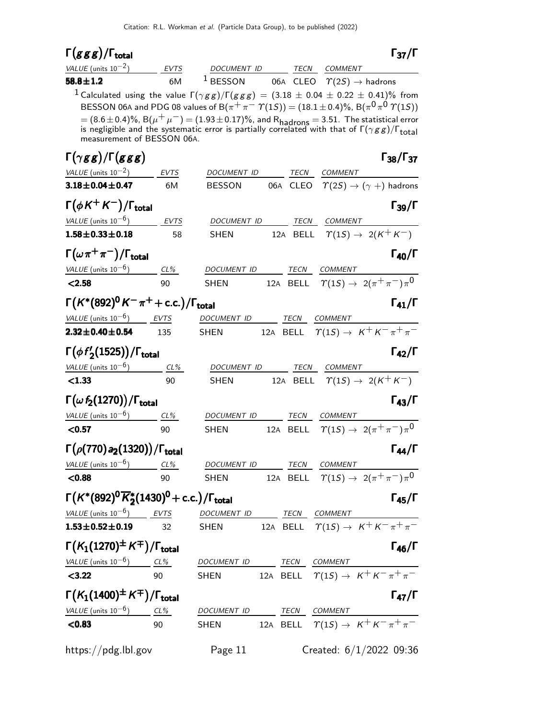| DOCUMENT ID<br><b>EVTS</b><br>TECN COMMENT<br>$1$ BESSON<br>6M<br>06A CLEO $\Upsilon(2S) \rightarrow$ hadrons<br><sup>1</sup> Calculated using the value $\Gamma(\gamma g g)/\Gamma(g g g) = (3.18 \pm 0.04 \pm 0.22 \pm 0.41)\%$ from<br>BESSON 06A and PDG 08 values of B( $\pi^+\pi^-\ \eta(1S)) = (18.1 \pm 0.4)\%$ , B( $\pi^0\pi^0\ \eta(1S)$ )<br>= $(8.6 \pm 0.4)\%$ , B $(\mu^+ \mu^-)$ = $(1.93 \pm 0.17)\%$ , and R <sub>hadrons</sub> = 3.51. The statistical error is negligible and the systematic error is partially correlated with that of $\Gamma(\gamma g g)/\Gamma_{\text{total}}$<br>measurement of BESSON 06A.<br>VALUE (units $10^{-2}$ )<br>EVTS<br>TECN<br>DOCUMENT ID<br><b>COMMENT</b><br>$\Upsilon(2S) \rightarrow (\gamma + )$ hadrons<br>$3.18 \pm 0.04 \pm 0.47$<br>06A CLEO<br>6M<br><b>BESSON</b><br>$\Gamma(\phi K^+ K^-)/\Gamma_{\rm total}$<br>VALUE (units $10^{-6}$ ) EVTS<br>DOCUMENT ID<br>TECN<br>COMMENT<br>12A BELL $\Upsilon(1S) \rightarrow 2(K^+K^-)$<br>58<br><b>SHEN</b><br>$\Gamma(\omega \pi^+\pi^-)/\Gamma_{\rm total}$<br>VALUE (units $10^{-6}$ ) CL%<br>DOCUMENT ID<br>TECN<br><b>COMMENT</b><br>$\Upsilon(15) \rightarrow 2(\pi^+\pi^-)\pi^0$<br>12A BELL<br>90<br><b>SHEN</b><br>$\Gamma(K^*(892)^{\mathbf{0}}K^-\pi^+ + \text{c.c.})/\Gamma_{\text{total}}$<br>$\Gamma_{41}/\Gamma$<br>VALUE (units $10^{-6}$ ) EVTS<br>TECN COMMENT<br>DOCUMENT ID<br>12A BELL $\Upsilon(1S) \rightarrow K^+ K^- \pi^+ \pi^-$<br><b>SHEN</b><br>135<br>$\Gamma(\phi f_2'(1525))/\Gamma_{\text{total}}$<br>$\Gamma_{42}/\Gamma$<br>VALUE (units $10^{-6}$ )<br>$CL\%$<br>DOCUMENT ID<br>TECN<br><b>COMMENT</b><br>$\Upsilon(15) \rightarrow 2(K^+K^-)$<br>< 1.33<br>90<br>12A BELL<br><b>SHEN</b><br>$\Gamma(\omega f_2(1270))/\Gamma_{\rm total}$<br>$\Gamma_{43}/\Gamma$<br>TECN<br>DOCUMENT ID<br><b>COMMENT</b><br>$CL\%$<br>BELL $\Upsilon(1S) \rightarrow 2(\pi^+\pi^-)\pi^0$<br>90<br><b>SHEN</b><br>12A<br>$\Gamma(\rho(770) a_2(1320)) / \Gamma_{\rm total}$<br>$CL\%$<br>DOCUMENT ID TECN COMMENT<br>12A BELL $\Upsilon(1S) \rightarrow 2(\pi^+\pi^-)\pi^0$<br>90<br>SHEN<br>$\Gamma(K^*(892)^0\overline{K}_2^*(1430)^0 + \text{c.c.})/\Gamma_{\text{total}}$<br>EVTS<br>DOCUMENT ID TECN COMMENT<br>$\frac{\text{TECN}}{\text{BELL}}$ $\frac{\text{COMMENT}}{\text{T(1S)} \rightarrow \text{K}^+ \text{K}^- \pi^+ \pi^-}$<br>32<br><b>SHEN</b><br>$\Gamma(K_1(1270)^{\pm}K^{\mp})/\Gamma_{\text{total}}$<br>$\Gamma_{46}/\Gamma$<br>VALUE (units $10^{-6}$ ) CL%<br>DOCUMENT ID TECN COMMENT<br>12A BELL $\Upsilon(1S) \rightarrow K^+ K^- \pi^+ \pi^-$<br>90<br><b>SHEN</b><br>$\Gamma(K_1(1400)^{\pm}\,K^{\mp})/\Gamma_{\rm total}$<br>$\Gamma_{47}/\Gamma$<br>VALUE (units $10^{-6}$ ) CL%<br>DOCUMENT ID<br>TECN COMMENT<br>12A BELL $\tau(1S) \rightarrow K^+ K^- \pi^+ \pi^-$<br>< 0.83<br><b>SHEN</b><br>90<br>Created: $6/1/2022$ 09:36 | $\Gamma(ggg)/\Gamma_{\rm total}$ |         |  | $\Gamma_{37}/\Gamma$      |
|-----------------------------------------------------------------------------------------------------------------------------------------------------------------------------------------------------------------------------------------------------------------------------------------------------------------------------------------------------------------------------------------------------------------------------------------------------------------------------------------------------------------------------------------------------------------------------------------------------------------------------------------------------------------------------------------------------------------------------------------------------------------------------------------------------------------------------------------------------------------------------------------------------------------------------------------------------------------------------------------------------------------------------------------------------------------------------------------------------------------------------------------------------------------------------------------------------------------------------------------------------------------------------------------------------------------------------------------------------------------------------------------------------------------------------------------------------------------------------------------------------------------------------------------------------------------------------------------------------------------------------------------------------------------------------------------------------------------------------------------------------------------------------------------------------------------------------------------------------------------------------------------------------------------------------------------------------------------------------------------------------------------------------------------------------------------------------------------------------------------------------------------------------------------------------------------------------------------------------------------------------------------------------------------------------------------------------------------------------------------------------------------------------------------------------------------------------------------------------------------------------------------------------------------------------------------------------------------------------------------------------------------------------------------------------------------------------------------------------------------------------------------------------------------------------------------------------------------------------------------------------------------------------|----------------------------------|---------|--|---------------------------|
|                                                                                                                                                                                                                                                                                                                                                                                                                                                                                                                                                                                                                                                                                                                                                                                                                                                                                                                                                                                                                                                                                                                                                                                                                                                                                                                                                                                                                                                                                                                                                                                                                                                                                                                                                                                                                                                                                                                                                                                                                                                                                                                                                                                                                                                                                                                                                                                                                                                                                                                                                                                                                                                                                                                                                                                                                                                                                                     | VALUE (units $10^{-2}$ )         |         |  |                           |
|                                                                                                                                                                                                                                                                                                                                                                                                                                                                                                                                                                                                                                                                                                                                                                                                                                                                                                                                                                                                                                                                                                                                                                                                                                                                                                                                                                                                                                                                                                                                                                                                                                                                                                                                                                                                                                                                                                                                                                                                                                                                                                                                                                                                                                                                                                                                                                                                                                                                                                                                                                                                                                                                                                                                                                                                                                                                                                     | $58.8 \pm 1.2$                   |         |  |                           |
|                                                                                                                                                                                                                                                                                                                                                                                                                                                                                                                                                                                                                                                                                                                                                                                                                                                                                                                                                                                                                                                                                                                                                                                                                                                                                                                                                                                                                                                                                                                                                                                                                                                                                                                                                                                                                                                                                                                                                                                                                                                                                                                                                                                                                                                                                                                                                                                                                                                                                                                                                                                                                                                                                                                                                                                                                                                                                                     |                                  |         |  |                           |
|                                                                                                                                                                                                                                                                                                                                                                                                                                                                                                                                                                                                                                                                                                                                                                                                                                                                                                                                                                                                                                                                                                                                                                                                                                                                                                                                                                                                                                                                                                                                                                                                                                                                                                                                                                                                                                                                                                                                                                                                                                                                                                                                                                                                                                                                                                                                                                                                                                                                                                                                                                                                                                                                                                                                                                                                                                                                                                     |                                  |         |  |                           |
|                                                                                                                                                                                                                                                                                                                                                                                                                                                                                                                                                                                                                                                                                                                                                                                                                                                                                                                                                                                                                                                                                                                                                                                                                                                                                                                                                                                                                                                                                                                                                                                                                                                                                                                                                                                                                                                                                                                                                                                                                                                                                                                                                                                                                                                                                                                                                                                                                                                                                                                                                                                                                                                                                                                                                                                                                                                                                                     |                                  |         |  |                           |
|                                                                                                                                                                                                                                                                                                                                                                                                                                                                                                                                                                                                                                                                                                                                                                                                                                                                                                                                                                                                                                                                                                                                                                                                                                                                                                                                                                                                                                                                                                                                                                                                                                                                                                                                                                                                                                                                                                                                                                                                                                                                                                                                                                                                                                                                                                                                                                                                                                                                                                                                                                                                                                                                                                                                                                                                                                                                                                     |                                  |         |  |                           |
|                                                                                                                                                                                                                                                                                                                                                                                                                                                                                                                                                                                                                                                                                                                                                                                                                                                                                                                                                                                                                                                                                                                                                                                                                                                                                                                                                                                                                                                                                                                                                                                                                                                                                                                                                                                                                                                                                                                                                                                                                                                                                                                                                                                                                                                                                                                                                                                                                                                                                                                                                                                                                                                                                                                                                                                                                                                                                                     | $\Gamma(\gamma gg)/\Gamma(ggg)$  |         |  | $\Gamma_{38}/\Gamma_{37}$ |
|                                                                                                                                                                                                                                                                                                                                                                                                                                                                                                                                                                                                                                                                                                                                                                                                                                                                                                                                                                                                                                                                                                                                                                                                                                                                                                                                                                                                                                                                                                                                                                                                                                                                                                                                                                                                                                                                                                                                                                                                                                                                                                                                                                                                                                                                                                                                                                                                                                                                                                                                                                                                                                                                                                                                                                                                                                                                                                     |                                  |         |  |                           |
|                                                                                                                                                                                                                                                                                                                                                                                                                                                                                                                                                                                                                                                                                                                                                                                                                                                                                                                                                                                                                                                                                                                                                                                                                                                                                                                                                                                                                                                                                                                                                                                                                                                                                                                                                                                                                                                                                                                                                                                                                                                                                                                                                                                                                                                                                                                                                                                                                                                                                                                                                                                                                                                                                                                                                                                                                                                                                                     |                                  |         |  |                           |
|                                                                                                                                                                                                                                                                                                                                                                                                                                                                                                                                                                                                                                                                                                                                                                                                                                                                                                                                                                                                                                                                                                                                                                                                                                                                                                                                                                                                                                                                                                                                                                                                                                                                                                                                                                                                                                                                                                                                                                                                                                                                                                                                                                                                                                                                                                                                                                                                                                                                                                                                                                                                                                                                                                                                                                                                                                                                                                     |                                  |         |  | $\Gamma_{39}/\Gamma$      |
|                                                                                                                                                                                                                                                                                                                                                                                                                                                                                                                                                                                                                                                                                                                                                                                                                                                                                                                                                                                                                                                                                                                                                                                                                                                                                                                                                                                                                                                                                                                                                                                                                                                                                                                                                                                                                                                                                                                                                                                                                                                                                                                                                                                                                                                                                                                                                                                                                                                                                                                                                                                                                                                                                                                                                                                                                                                                                                     |                                  |         |  |                           |
|                                                                                                                                                                                                                                                                                                                                                                                                                                                                                                                                                                                                                                                                                                                                                                                                                                                                                                                                                                                                                                                                                                                                                                                                                                                                                                                                                                                                                                                                                                                                                                                                                                                                                                                                                                                                                                                                                                                                                                                                                                                                                                                                                                                                                                                                                                                                                                                                                                                                                                                                                                                                                                                                                                                                                                                                                                                                                                     | $1.58 \pm 0.33 \pm 0.18$         |         |  |                           |
|                                                                                                                                                                                                                                                                                                                                                                                                                                                                                                                                                                                                                                                                                                                                                                                                                                                                                                                                                                                                                                                                                                                                                                                                                                                                                                                                                                                                                                                                                                                                                                                                                                                                                                                                                                                                                                                                                                                                                                                                                                                                                                                                                                                                                                                                                                                                                                                                                                                                                                                                                                                                                                                                                                                                                                                                                                                                                                     |                                  |         |  | $\Gamma_{40}/\Gamma$      |
|                                                                                                                                                                                                                                                                                                                                                                                                                                                                                                                                                                                                                                                                                                                                                                                                                                                                                                                                                                                                                                                                                                                                                                                                                                                                                                                                                                                                                                                                                                                                                                                                                                                                                                                                                                                                                                                                                                                                                                                                                                                                                                                                                                                                                                                                                                                                                                                                                                                                                                                                                                                                                                                                                                                                                                                                                                                                                                     |                                  |         |  |                           |
|                                                                                                                                                                                                                                                                                                                                                                                                                                                                                                                                                                                                                                                                                                                                                                                                                                                                                                                                                                                                                                                                                                                                                                                                                                                                                                                                                                                                                                                                                                                                                                                                                                                                                                                                                                                                                                                                                                                                                                                                                                                                                                                                                                                                                                                                                                                                                                                                                                                                                                                                                                                                                                                                                                                                                                                                                                                                                                     | < 2.58                           |         |  |                           |
|                                                                                                                                                                                                                                                                                                                                                                                                                                                                                                                                                                                                                                                                                                                                                                                                                                                                                                                                                                                                                                                                                                                                                                                                                                                                                                                                                                                                                                                                                                                                                                                                                                                                                                                                                                                                                                                                                                                                                                                                                                                                                                                                                                                                                                                                                                                                                                                                                                                                                                                                                                                                                                                                                                                                                                                                                                                                                                     |                                  |         |  |                           |
|                                                                                                                                                                                                                                                                                                                                                                                                                                                                                                                                                                                                                                                                                                                                                                                                                                                                                                                                                                                                                                                                                                                                                                                                                                                                                                                                                                                                                                                                                                                                                                                                                                                                                                                                                                                                                                                                                                                                                                                                                                                                                                                                                                                                                                                                                                                                                                                                                                                                                                                                                                                                                                                                                                                                                                                                                                                                                                     |                                  |         |  |                           |
|                                                                                                                                                                                                                                                                                                                                                                                                                                                                                                                                                                                                                                                                                                                                                                                                                                                                                                                                                                                                                                                                                                                                                                                                                                                                                                                                                                                                                                                                                                                                                                                                                                                                                                                                                                                                                                                                                                                                                                                                                                                                                                                                                                                                                                                                                                                                                                                                                                                                                                                                                                                                                                                                                                                                                                                                                                                                                                     | $2.32 \pm 0.40 \pm 0.54$         |         |  |                           |
|                                                                                                                                                                                                                                                                                                                                                                                                                                                                                                                                                                                                                                                                                                                                                                                                                                                                                                                                                                                                                                                                                                                                                                                                                                                                                                                                                                                                                                                                                                                                                                                                                                                                                                                                                                                                                                                                                                                                                                                                                                                                                                                                                                                                                                                                                                                                                                                                                                                                                                                                                                                                                                                                                                                                                                                                                                                                                                     |                                  |         |  |                           |
|                                                                                                                                                                                                                                                                                                                                                                                                                                                                                                                                                                                                                                                                                                                                                                                                                                                                                                                                                                                                                                                                                                                                                                                                                                                                                                                                                                                                                                                                                                                                                                                                                                                                                                                                                                                                                                                                                                                                                                                                                                                                                                                                                                                                                                                                                                                                                                                                                                                                                                                                                                                                                                                                                                                                                                                                                                                                                                     |                                  |         |  |                           |
|                                                                                                                                                                                                                                                                                                                                                                                                                                                                                                                                                                                                                                                                                                                                                                                                                                                                                                                                                                                                                                                                                                                                                                                                                                                                                                                                                                                                                                                                                                                                                                                                                                                                                                                                                                                                                                                                                                                                                                                                                                                                                                                                                                                                                                                                                                                                                                                                                                                                                                                                                                                                                                                                                                                                                                                                                                                                                                     |                                  |         |  |                           |
|                                                                                                                                                                                                                                                                                                                                                                                                                                                                                                                                                                                                                                                                                                                                                                                                                                                                                                                                                                                                                                                                                                                                                                                                                                                                                                                                                                                                                                                                                                                                                                                                                                                                                                                                                                                                                                                                                                                                                                                                                                                                                                                                                                                                                                                                                                                                                                                                                                                                                                                                                                                                                                                                                                                                                                                                                                                                                                     |                                  |         |  |                           |
|                                                                                                                                                                                                                                                                                                                                                                                                                                                                                                                                                                                                                                                                                                                                                                                                                                                                                                                                                                                                                                                                                                                                                                                                                                                                                                                                                                                                                                                                                                                                                                                                                                                                                                                                                                                                                                                                                                                                                                                                                                                                                                                                                                                                                                                                                                                                                                                                                                                                                                                                                                                                                                                                                                                                                                                                                                                                                                     |                                  |         |  |                           |
|                                                                                                                                                                                                                                                                                                                                                                                                                                                                                                                                                                                                                                                                                                                                                                                                                                                                                                                                                                                                                                                                                                                                                                                                                                                                                                                                                                                                                                                                                                                                                                                                                                                                                                                                                                                                                                                                                                                                                                                                                                                                                                                                                                                                                                                                                                                                                                                                                                                                                                                                                                                                                                                                                                                                                                                                                                                                                                     | VALUE (units $10^{-6}$ )         |         |  |                           |
|                                                                                                                                                                                                                                                                                                                                                                                                                                                                                                                                                                                                                                                                                                                                                                                                                                                                                                                                                                                                                                                                                                                                                                                                                                                                                                                                                                                                                                                                                                                                                                                                                                                                                                                                                                                                                                                                                                                                                                                                                                                                                                                                                                                                                                                                                                                                                                                                                                                                                                                                                                                                                                                                                                                                                                                                                                                                                                     | < 0.57                           |         |  |                           |
|                                                                                                                                                                                                                                                                                                                                                                                                                                                                                                                                                                                                                                                                                                                                                                                                                                                                                                                                                                                                                                                                                                                                                                                                                                                                                                                                                                                                                                                                                                                                                                                                                                                                                                                                                                                                                                                                                                                                                                                                                                                                                                                                                                                                                                                                                                                                                                                                                                                                                                                                                                                                                                                                                                                                                                                                                                                                                                     |                                  |         |  | $\Gamma_{44}/\Gamma$      |
|                                                                                                                                                                                                                                                                                                                                                                                                                                                                                                                                                                                                                                                                                                                                                                                                                                                                                                                                                                                                                                                                                                                                                                                                                                                                                                                                                                                                                                                                                                                                                                                                                                                                                                                                                                                                                                                                                                                                                                                                                                                                                                                                                                                                                                                                                                                                                                                                                                                                                                                                                                                                                                                                                                                                                                                                                                                                                                     | VALUE (units $10^{-6}$ )         |         |  |                           |
|                                                                                                                                                                                                                                                                                                                                                                                                                                                                                                                                                                                                                                                                                                                                                                                                                                                                                                                                                                                                                                                                                                                                                                                                                                                                                                                                                                                                                                                                                                                                                                                                                                                                                                                                                                                                                                                                                                                                                                                                                                                                                                                                                                                                                                                                                                                                                                                                                                                                                                                                                                                                                                                                                                                                                                                                                                                                                                     | < 0.88                           |         |  |                           |
|                                                                                                                                                                                                                                                                                                                                                                                                                                                                                                                                                                                                                                                                                                                                                                                                                                                                                                                                                                                                                                                                                                                                                                                                                                                                                                                                                                                                                                                                                                                                                                                                                                                                                                                                                                                                                                                                                                                                                                                                                                                                                                                                                                                                                                                                                                                                                                                                                                                                                                                                                                                                                                                                                                                                                                                                                                                                                                     |                                  |         |  | $\Gamma_{45}/\Gamma$      |
|                                                                                                                                                                                                                                                                                                                                                                                                                                                                                                                                                                                                                                                                                                                                                                                                                                                                                                                                                                                                                                                                                                                                                                                                                                                                                                                                                                                                                                                                                                                                                                                                                                                                                                                                                                                                                                                                                                                                                                                                                                                                                                                                                                                                                                                                                                                                                                                                                                                                                                                                                                                                                                                                                                                                                                                                                                                                                                     | VALUE (units $10^{-6}$ )         |         |  |                           |
|                                                                                                                                                                                                                                                                                                                                                                                                                                                                                                                                                                                                                                                                                                                                                                                                                                                                                                                                                                                                                                                                                                                                                                                                                                                                                                                                                                                                                                                                                                                                                                                                                                                                                                                                                                                                                                                                                                                                                                                                                                                                                                                                                                                                                                                                                                                                                                                                                                                                                                                                                                                                                                                                                                                                                                                                                                                                                                     | $1.53 \pm 0.52 \pm 0.19$         |         |  |                           |
|                                                                                                                                                                                                                                                                                                                                                                                                                                                                                                                                                                                                                                                                                                                                                                                                                                                                                                                                                                                                                                                                                                                                                                                                                                                                                                                                                                                                                                                                                                                                                                                                                                                                                                                                                                                                                                                                                                                                                                                                                                                                                                                                                                                                                                                                                                                                                                                                                                                                                                                                                                                                                                                                                                                                                                                                                                                                                                     |                                  |         |  |                           |
|                                                                                                                                                                                                                                                                                                                                                                                                                                                                                                                                                                                                                                                                                                                                                                                                                                                                                                                                                                                                                                                                                                                                                                                                                                                                                                                                                                                                                                                                                                                                                                                                                                                                                                                                                                                                                                                                                                                                                                                                                                                                                                                                                                                                                                                                                                                                                                                                                                                                                                                                                                                                                                                                                                                                                                                                                                                                                                     |                                  |         |  |                           |
|                                                                                                                                                                                                                                                                                                                                                                                                                                                                                                                                                                                                                                                                                                                                                                                                                                                                                                                                                                                                                                                                                                                                                                                                                                                                                                                                                                                                                                                                                                                                                                                                                                                                                                                                                                                                                                                                                                                                                                                                                                                                                                                                                                                                                                                                                                                                                                                                                                                                                                                                                                                                                                                                                                                                                                                                                                                                                                     | < 3.22                           |         |  |                           |
|                                                                                                                                                                                                                                                                                                                                                                                                                                                                                                                                                                                                                                                                                                                                                                                                                                                                                                                                                                                                                                                                                                                                                                                                                                                                                                                                                                                                                                                                                                                                                                                                                                                                                                                                                                                                                                                                                                                                                                                                                                                                                                                                                                                                                                                                                                                                                                                                                                                                                                                                                                                                                                                                                                                                                                                                                                                                                                     |                                  |         |  |                           |
|                                                                                                                                                                                                                                                                                                                                                                                                                                                                                                                                                                                                                                                                                                                                                                                                                                                                                                                                                                                                                                                                                                                                                                                                                                                                                                                                                                                                                                                                                                                                                                                                                                                                                                                                                                                                                                                                                                                                                                                                                                                                                                                                                                                                                                                                                                                                                                                                                                                                                                                                                                                                                                                                                                                                                                                                                                                                                                     |                                  |         |  |                           |
|                                                                                                                                                                                                                                                                                                                                                                                                                                                                                                                                                                                                                                                                                                                                                                                                                                                                                                                                                                                                                                                                                                                                                                                                                                                                                                                                                                                                                                                                                                                                                                                                                                                                                                                                                                                                                                                                                                                                                                                                                                                                                                                                                                                                                                                                                                                                                                                                                                                                                                                                                                                                                                                                                                                                                                                                                                                                                                     |                                  |         |  |                           |
|                                                                                                                                                                                                                                                                                                                                                                                                                                                                                                                                                                                                                                                                                                                                                                                                                                                                                                                                                                                                                                                                                                                                                                                                                                                                                                                                                                                                                                                                                                                                                                                                                                                                                                                                                                                                                                                                                                                                                                                                                                                                                                                                                                                                                                                                                                                                                                                                                                                                                                                                                                                                                                                                                                                                                                                                                                                                                                     |                                  |         |  |                           |
|                                                                                                                                                                                                                                                                                                                                                                                                                                                                                                                                                                                                                                                                                                                                                                                                                                                                                                                                                                                                                                                                                                                                                                                                                                                                                                                                                                                                                                                                                                                                                                                                                                                                                                                                                                                                                                                                                                                                                                                                                                                                                                                                                                                                                                                                                                                                                                                                                                                                                                                                                                                                                                                                                                                                                                                                                                                                                                     | $\frac{https://pdg.1b1.gov}{%$   | Page 11 |  |                           |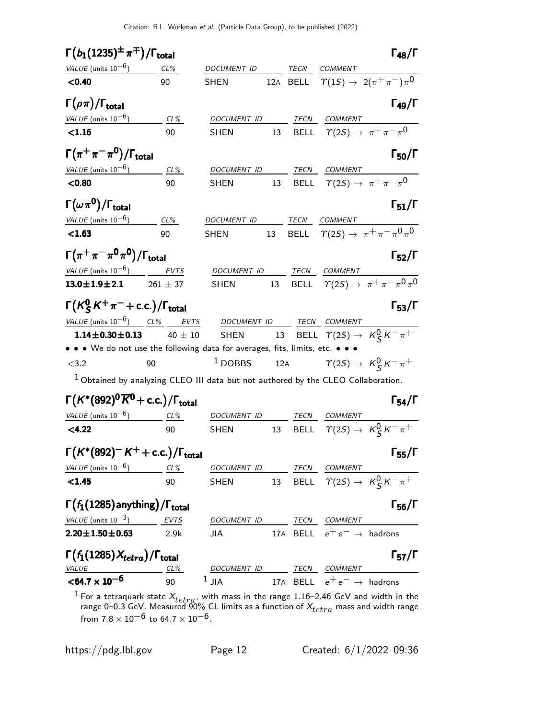| $\Gamma(b_1(1235)^\pm\,\pi^\mp)/\Gamma_{\rm total}$                                 |                  |                                  |    |      |                                                      | $\Gamma_{48}/\Gamma$                                       |
|-------------------------------------------------------------------------------------|------------------|----------------------------------|----|------|------------------------------------------------------|------------------------------------------------------------|
| VALUE (units $10^{-6}$ ) CL%                                                        |                  | DOCUM <u>ENT ID TECN COMMENT</u> |    |      |                                                      |                                                            |
| < 0.40                                                                              | 90               | <b>SHEN</b>                      |    |      |                                                      | 12A BELL $\Upsilon(1S) \rightarrow 2(\pi^+\pi^-)\pi^0$     |
| $\mathsf{\Gamma}(\rho\pi)/\mathsf{\Gamma}_{\mathsf{total}}$                         |                  |                                  |    |      |                                                      | $\Gamma_{49}/\Gamma$                                       |
| $VALUE$ (units $10^{-6}$ )                                                          | CL%              | DOCUMENT ID                      |    | TECN | <b>COMMENT</b>                                       |                                                            |
| < 1.16                                                                              | 90               | <b>SHEN</b>                      | 13 |      | BELL $\Upsilon(2S) \rightarrow \pi^+ \pi^- \pi^0$    |                                                            |
| $\Gamma(\pi^+\pi^-\pi^{\mathsf{0}})/\Gamma_{\mathsf{total}}$                        |                  |                                  |    |      |                                                      | $\Gamma_{50}/\Gamma$                                       |
| VALUE (units $10^{-6}$ ) CL%                                                        |                  | DOCUMENT ID                      |    |      | TECN COMMENT                                         |                                                            |
| < 0.80                                                                              | 90               | SHEN                             |    |      | 13 BELL $\Upsilon(2S) \rightarrow \pi^+ \pi^- \pi^0$ |                                                            |
| $\Gamma(\omega\,\pi^0)/\Gamma_{\rm total}$                                          |                  |                                  |    |      |                                                      | $\Gamma_{51}/\Gamma$                                       |
| VALUE (units $10^{-6}$ ) CL%                                                        |                  | DOCUMENT ID TECN COMMENT         |    |      |                                                      |                                                            |
| < 1.63                                                                              | 90               | <b>SHEN</b>                      | 13 |      |                                                      | BELL $\tau(2S) \rightarrow \pi^+ \pi^- \pi^0 \pi^0$        |
| $\Gamma(\pi^+\pi^-\pi^0\pi^0)/\Gamma_{\rm total}$                                   |                  |                                  |    |      |                                                      | $\Gamma_{52}/\Gamma$                                       |
| VALUE (units $10^{-6}$ ) EVTS                                                       |                  |                                  |    |      | DOCUMENT ID TECN COMMENT                             |                                                            |
| $13.0 \pm 1.9 \pm 2.1$ 261 $\pm$ 37                                                 |                  | <b>SHEN</b>                      |    |      |                                                      | 13 BELL $\Upsilon(2S) \rightarrow \pi^+ \pi^- \pi^0 \pi^0$ |
| $\Gamma(K^0_{\mathcal{S}}K^+\pi^-+$ c.c.) / $\Gamma_{\text{total}}$                 |                  |                                  |    |      |                                                      | $\Gamma_{53}/\Gamma$                                       |
| VALUE (units $10^{-6}$ ) $CL\%$ EVTS DOCUMENT ID TECN COMMENT                       |                  |                                  |    |      |                                                      |                                                            |
| $1.14 \pm 0.30 \pm 0.13$                                                            | $40 \pm 10$ SHEN |                                  |    |      |                                                      | 13 BELL $\Upsilon(2S) \rightarrow K_S^0 K^- \pi^+$         |
| • • • We do not use the following data for averages, fits, limits, etc. • •         |                  |                                  |    |      |                                                      |                                                            |
| < 3.2                                                                               | 90               | $1$ DOBBS                        |    |      |                                                      | 12A $\gamma(2S) \rightarrow K_S^0 K^- \pi^+$               |
| $1$ Obtained by analyzing CLEO III data but not authored by the CLEO Collaboration. |                  |                                  |    |      |                                                      |                                                            |
| $\Gamma(K^*(892)^0\overline{K}^0+$ c.c.) / $\Gamma_{\rm total}$                     |                  |                                  |    |      |                                                      | $\Gamma_{54}/\Gamma$                                       |
| VALUE (units $10^{-6}$ ) CL%                                                        |                  |                                  |    |      | DOCUMENT ID TECN COMMENT                             |                                                            |
| < 4.22                                                                              | 90               | <b>SHEN</b>                      |    |      |                                                      | 13 BELL $\Upsilon(2S) \rightarrow K_S^0 K^- \pi^+$         |
| $\Gamma(K^*(892)^-K^++$ c.c.)/ $\Gamma_{\text{total}}$                              |                  |                                  |    |      |                                                      | $\Gamma_{55}/\Gamma$                                       |
| VALUE (units $10^{-6}$ ) CL%                                                        |                  |                                  |    |      | DOCUMENT ID TECN COMMENT                             |                                                            |
| < 1.45                                                                              | 90               | <b>SHEN</b>                      |    |      |                                                      | 13 BELL $\Upsilon(2S) \rightarrow K_S^0 K^- \pi^+$         |
| $\Gamma(f_1(1285)$ anything) / $\Gamma_{\text{total}}$                              |                  |                                  |    |      |                                                      | $\Gamma_{56}/\Gamma$                                       |
| VALUE (units $10^{-3}$ ) EVTS                                                       |                  |                                  |    |      | DOCUMENT ID TECN COMMENT                             |                                                            |
| $2.20 \pm 1.50 \pm 0.63$                                                            | 2.9k             | <b>JIA</b>                       |    |      | 17A BELL $e^+e^- \rightarrow$ hadrons                |                                                            |
| $\Gamma(f_1(1285)X_{tetra})/\Gamma_{\rm total}$                                     |                  |                                  |    |      |                                                      | $\Gamma_{57}/\Gamma$                                       |
| VALUE                                                                               | CL%              |                                  |    |      | DOCUMENT ID TECN COMMENT                             |                                                            |
| $<$ 64.7 $\times$ 10 <sup>-6</sup>                                                  | 90               | $1$ JIA                          |    |      | 17A BELL $e^+e^- \rightarrow$ hadrons                |                                                            |

<sup>1</sup> For a tetraquark state  $X_{tetra}$ , with mass in the range 1.16–2.46 GeV and width in the range 0–0.3 GeV. Measured 90% CL limits as a function of  $X_{tetra}$  mass and width range from 7.8  $\times$   $10^{-6}$  to 64.7  $\times$   $10^{-6}$ .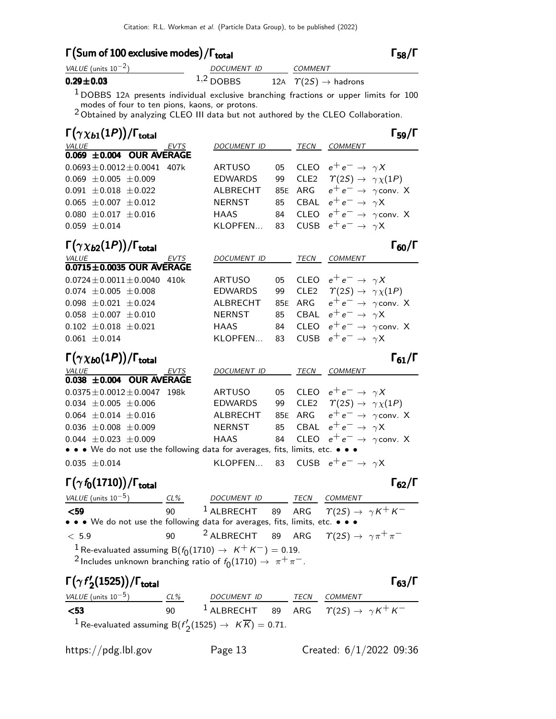# Γ (Sum of 100 exclusive modes) / Γ<sub>total</sub> Γ<sub>58</sub>/Γ

| VALUE (units $10^{-2}$ ) | DOCUMENT ID | <b>COMMENT</b>                                |
|--------------------------|-------------|-----------------------------------------------|
| $0.29 \pm 0.03$          | $1,2$ DOBBS | 12A $\ \ \mathcal{T}(2S) \rightarrow$ hadrons |
|                          |             |                                               |

 $1$  DOBBS 12A presents individual exclusive branching fractions or upper limits for 100

modes of four to ten pions, kaons, or protons.<br><sup>2</sup> Obtained by analyzing CLEO III data but not authored by the CLEO Collaboration.

| $\Gamma(\gamma \chi_{b1}(1P))/\Gamma_{\rm total}$                             |             |                 |     |             | $\Gamma_{59}/\Gamma$                            |
|-------------------------------------------------------------------------------|-------------|-----------------|-----|-------------|-------------------------------------------------|
| <b>VALUE</b>                                                                  | EVTS        | DOCUMENT ID     |     |             | TECN COMMENT                                    |
| 0.069 ±0.004 OUR AVERAGE                                                      |             |                 |     |             |                                                 |
| $0.0693 \pm 0.0012 \pm 0.0041$                                                | 407k        | <b>ARTUSO</b>   | 05  |             | CLEO $e^+e^- \rightarrow \gamma X$              |
| $0.069 \pm 0.005 \pm 0.009$                                                   |             | <b>EDWARDS</b>  | 99  |             | CLE2 $\Upsilon(2S) \rightarrow \gamma \chi(1P)$ |
| $0.091 \pm 0.018 \pm 0.022$                                                   |             | <b>ALBRECHT</b> | 85E | ARG         | $e^+e^- \rightarrow \gamma$ conv. X             |
| $0.065 \pm 0.007 \pm 0.012$                                                   |             | <b>NERNST</b>   | 85  | CBAL        | $e^+e^- \rightarrow \gamma X$                   |
| $0.080 \pm 0.017 \pm 0.016$                                                   |             | <b>HAAS</b>     | 84  | CLEO        | $e^+e^- \rightarrow \gamma$ conv. X             |
| $0.059 \pm 0.014$                                                             |             | KLOPFEN         | 83  | <b>CUSB</b> | $e^+e^- \rightarrow \gamma X$                   |
| $\Gamma(\gamma \chi_{b2}(1P))/\Gamma_{\rm total}$                             |             |                 |     |             | $\Gamma_{60}/\Gamma$                            |
| <b>VALUE</b>                                                                  | <b>EVTS</b> | DOCUMENT ID     |     | TECN        | <b>COMMENT</b>                                  |
| $0.0715 \pm 0.0035$ OUR AVERAGE                                               |             |                 |     |             |                                                 |
| $0.0724 \pm 0.0011 \pm 0.0040$                                                | 410k        | <b>ARTUSO</b>   | 05  |             | CLEO $e^+e^- \rightarrow \gamma X$              |
| $0.074 \pm 0.005 \pm 0.008$                                                   |             | <b>EDWARDS</b>  | 99  |             | CLE2 $\Upsilon(2S) \rightarrow \gamma \chi(1P)$ |
| $0.098 \pm 0.021 \pm 0.024$                                                   |             | ALBRECHT        |     |             | 85E ARG $e^+e^- \rightarrow \gamma$ conv. X     |
| $0.058 \pm 0.007 \pm 0.010$                                                   |             | <b>NERNST</b>   | 85  |             | CBAL $e^+e^- \rightarrow \gamma X$              |
| $0.102 \pm 0.018 \pm 0.021$                                                   |             | <b>HAAS</b>     | 84  | CLEO        | $e^+e^- \rightarrow \gamma$ conv. X             |
| $0.061 \pm 0.014$                                                             |             | KLOPFEN         | 83  | <b>CUSB</b> | $e^+e^- \rightarrow \gamma X$                   |
| $\Gamma(\gamma\chi_{b0}(1P))/\Gamma_{\rm total}$                              |             |                 |     |             | $\Gamma_{61}/\Gamma$                            |
| <b>VALUE</b>                                                                  | <b>EVTS</b> | DOCUMENT ID     |     | TECN        | COMMENT                                         |
| 0.038 ±0.004 OUR AVERAGE                                                      |             |                 |     |             |                                                 |
| $0.0375 \pm 0.0012 \pm 0.0047$                                                | 198k        | <b>ARTUSO</b>   | 05  |             | CLEO $e^+e^- \rightarrow \gamma X$              |
| $0.034 \pm 0.005 \pm 0.006$                                                   |             | <b>EDWARDS</b>  | 99  |             | CLE2 $\Upsilon(2S) \rightarrow \gamma \chi(1P)$ |
| $0.064 \pm 0.014 \pm 0.016$                                                   |             | ALBRECHT        |     |             | 85E ARG $e^+e^- \rightarrow \gamma$ conv. X     |
| $0.036 \pm 0.008 \pm 0.009$                                                   |             | <b>NERNST</b>   | 85  |             | CBAL $e^+e^- \rightarrow \gamma X$              |
| $0.044 \pm 0.023 \pm 0.009$                                                   |             | <b>HAAS</b>     | 84  |             | CLEO $e^+e^- \rightarrow \gamma$ conv. X        |
| • • • We do not use the following data for averages, fits, limits, etc. • • • |             |                 |     |             |                                                 |
| $0.035 \pm 0.014$                                                             |             | KLOPFEN         | 83  |             | CUSB $e^+e^- \rightarrow \gamma X$              |
| $\Gamma(\gamma f_0(1710))/\Gamma_{\rm total}$                                 |             |                 |     |             | $\Gamma_{62}/\Gamma$                            |
| VALUE (units $10^{-5}$ )                                                      | CL%         | DOCUMENT ID     |     | TECN        | COMMENT                                         |
| $59$                                                                          | 90          | $1$ ALBRECHT    | 89  | ARG         | $\Upsilon(2S) \rightarrow \gamma K^+ K^-$       |

## **<59** 90  $^1$  ALBRECHT 89 ARG  $\varUpsilon(2S) \rightarrow \gamma K^+ K^-$ • • • We do not use the following data for averages, fits, limits, etc. • • •  $< 5.9$  90  $<sup>2</sup>$  ALBRECHT 89 ARG  $\gamma(2S) \rightarrow \gamma \pi^+ \pi^-$ </sup> <sup>1</sup> Re-evaluated assuming B( $f_0(1710)$  →  $K^+K^-$ ) = 0.19.

<sup>2</sup> Includes unknown branching ratio of  $f_0(1710) \rightarrow \pi^+\pi^-$ .

#### Γ $(γf'$  $\Gamma(\gamma f_2^\prime(1525))/\Gamma_{\text{total}}$ Γ<sub>63</sub>/Γ

 $\Gamma_{58}/\Gamma$ 

VALUE (units  $10^{-5}$ ) ) CL% DOCUMENT ID TECN COMMENT **<53** 90  $^1$  ALBRECHT 89 ARG  $\gamma(2S) \rightarrow \gamma K^+ K^ ^1$  Re-evaluated assuming B( $f_\tau'$  $V'_2(1525) \to K\,K) = 0.71.$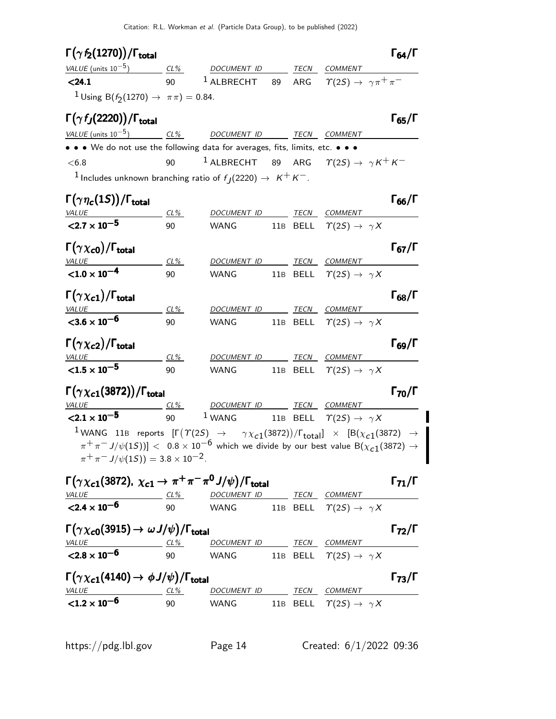Citation: R.L. Workman et al. (Particle Data Group), to be published (2022)

| $\Gamma(\gamma f_2(1270))/\Gamma_{\rm total}$                                                                                                                                                                                                                                                                            |                      |                                                                        |    |      |                                                   | $\Gamma_{64}/\Gamma$ |
|--------------------------------------------------------------------------------------------------------------------------------------------------------------------------------------------------------------------------------------------------------------------------------------------------------------------------|----------------------|------------------------------------------------------------------------|----|------|---------------------------------------------------|----------------------|
| $VALUE$ (units $10^{-5}$ ) CL%                                                                                                                                                                                                                                                                                           |                      | DOCUMENT ID TECN COMMENT                                               |    |      |                                                   |                      |
| < 24.1                                                                                                                                                                                                                                                                                                                   | 90                   | $1$ ALBRECHT                                                           | 89 |      | ARG $\Upsilon(2S) \rightarrow \gamma \pi^+ \pi^-$ |                      |
| <sup>1</sup> Using B( $f_2(1270) \rightarrow \pi \pi$ ) = 0.84.                                                                                                                                                                                                                                                          |                      |                                                                        |    |      |                                                   |                      |
| $\Gamma(\gamma f_J(2220))/\Gamma_{\rm total}$                                                                                                                                                                                                                                                                            |                      |                                                                        |    |      |                                                   | $\Gamma_{65}/\Gamma$ |
| VALUE (units 10 <sup>-5</sup> ) CL% DOCUMENT ID TECN COMMENT                                                                                                                                                                                                                                                             |                      |                                                                        |    |      |                                                   |                      |
| • • • We do not use the following data for averages, fits, limits, etc. • • •                                                                                                                                                                                                                                            |                      |                                                                        |    |      |                                                   |                      |
| < 6.8                                                                                                                                                                                                                                                                                                                    | 90                   | <sup>1</sup> ALBRECHT 89 ARG $\Upsilon(2S) \rightarrow \gamma K^+ K^-$ |    |      |                                                   |                      |
| <sup>1</sup> Includes unknown branching ratio of $f_1(2220) \rightarrow K^+K^-$ .                                                                                                                                                                                                                                        |                      |                                                                        |    |      |                                                   |                      |
|                                                                                                                                                                                                                                                                                                                          |                      |                                                                        |    |      |                                                   |                      |
| $\Gamma(\gamma\eta_c(1S))/\Gamma_{\rm total}$                                                                                                                                                                                                                                                                            |                      |                                                                        |    |      |                                                   | $\Gamma_{66}/\Gamma$ |
| <b>VALUE</b><br>$<$ 2.7 $\times$ 10 <sup>-5</sup>                                                                                                                                                                                                                                                                        | CL%                  | <b>DOCUMENT ID</b>                                                     |    | TECN | <b>COMMENT</b>                                    |                      |
|                                                                                                                                                                                                                                                                                                                          | 90                   | WANG                                                                   |    |      | 11B BELL $\Upsilon(2S) \rightarrow \gamma X$      |                      |
| $\Gamma(\gamma \chi_{c0})/\Gamma_{\rm total}$                                                                                                                                                                                                                                                                            |                      |                                                                        |    |      |                                                   | $\Gamma_{67}/\Gamma$ |
| <b>VALUE</b>                                                                                                                                                                                                                                                                                                             | CL%                  |                                                                        |    |      | DOCUMENT ID TECN COMMENT                          |                      |
| $< 1.0 \times 10^{-4}$                                                                                                                                                                                                                                                                                                   | 90                   | WANG                                                                   |    |      | 11B BELL $\Upsilon(2S) \rightarrow \gamma X$      |                      |
| $\Gamma(\gamma \chi_{c1})/\Gamma_{\rm total}$                                                                                                                                                                                                                                                                            |                      |                                                                        |    |      |                                                   | $\Gamma_{68}/\Gamma$ |
| <b>VALUE</b>                                                                                                                                                                                                                                                                                                             | $CL\%$               | DOCUMENT ID TECN COMMENT                                               |    |      |                                                   |                      |
| $<$ 3.6 $\times$ 10 <sup>-6</sup>                                                                                                                                                                                                                                                                                        | 90                   | WANG                                                                   |    |      | 11B BELL $\Upsilon(2S) \rightarrow \gamma X$      |                      |
|                                                                                                                                                                                                                                                                                                                          |                      |                                                                        |    |      |                                                   |                      |
| $\Gamma(\gamma \chi_{c2})/\Gamma_{\rm total}$                                                                                                                                                                                                                                                                            |                      |                                                                        |    |      |                                                   | $\Gamma_{69}/\Gamma$ |
| <b>VALUE</b><br>$< 1.5 \times 10^{-5}$                                                                                                                                                                                                                                                                                   | <u>_ CL% _</u><br>90 | DOCUMENT ID TECN COMMENT<br>WANG                                       |    |      | 11B BELL $\Upsilon(2S) \rightarrow \gamma X$      |                      |
|                                                                                                                                                                                                                                                                                                                          |                      |                                                                        |    |      |                                                   |                      |
| $\Gamma(\gamma \chi_{c1}(3872))/\Gamma_{\rm total}$                                                                                                                                                                                                                                                                      |                      |                                                                        |    |      |                                                   | $\Gamma_{70}/\Gamma$ |
| VALUE                                                                                                                                                                                                                                                                                                                    | $CL\%$               | DOCUMENT ID TECN COMMENT                                               |    |      |                                                   |                      |
| $< 2.1 \times 10^{-5}$                                                                                                                                                                                                                                                                                                   | 90                   | $1$ WANG                                                               |    |      | 11B BELL $\Upsilon(2S) \rightarrow \gamma X$      |                      |
| 1 WANG 11B reports $[\Gamma(\Upsilon(2S) \rightarrow \Upsilon \chi_{c1}(3872))/\Gamma_{\text{total}}] \times [\text{B}(\chi_{c1}(3872) \rightarrow \Gamma \chi_{c2}(3872))]$                                                                                                                                             |                      |                                                                        |    |      |                                                   |                      |
| $\pi^+\pi^-$ J/ $\psi(1S))]<~$ 0.8 $\times$ $10^{-6}$ which we divide by our best value B( $\chi_{c1}(3872)\rightarrow$                                                                                                                                                                                                  |                      |                                                                        |    |      |                                                   |                      |
| $\pi^+ \pi^- J/\psi(1S)$ = 3.8 × 10 <sup>-2</sup> .                                                                                                                                                                                                                                                                      |                      |                                                                        |    |      |                                                   |                      |
| $\Gamma(\gamma \chi_{c1}(3872), \chi_{c1} \to \pi^+\pi^-\pi^0 J/\psi)/\Gamma_{\text{total}}$                                                                                                                                                                                                                             |                      |                                                                        |    |      |                                                   | $\Gamma_{71}/\Gamma$ |
|                                                                                                                                                                                                                                                                                                                          |                      |                                                                        |    |      |                                                   |                      |
| $\frac{VALUE}{2.4 \times 10^{-6}}$ $\frac{CL\%}{90}$ $\frac{DOCUMENT ID}{WANG}$ $\frac{TECN}{11B}$ $\frac{CDMMENT}{BEL}$ $\frac{COMMENT}{T(2S)} \rightarrow \gamma X$                                                                                                                                                    |                      | 90 WANG 11B BELL $\Upsilon(2S) \rightarrow \gamma X$                   |    |      |                                                   |                      |
|                                                                                                                                                                                                                                                                                                                          |                      |                                                                        |    |      |                                                   |                      |
| $\Gamma(\gamma \chi_{\bf c0}(3915) \to \omega J/\psi)/\Gamma_{\bf total}$                                                                                                                                                                                                                                                |                      |                                                                        |    |      |                                                   | $\Gamma_{72}/\Gamma$ |
|                                                                                                                                                                                                                                                                                                                          |                      |                                                                        |    |      |                                                   |                      |
|                                                                                                                                                                                                                                                                                                                          |                      |                                                                        |    |      |                                                   |                      |
|                                                                                                                                                                                                                                                                                                                          |                      |                                                                        |    |      |                                                   |                      |
|                                                                                                                                                                                                                                                                                                                          |                      |                                                                        |    |      |                                                   | $\Gamma_{73}/\Gamma$ |
| $\frac{VALUE}{2.8 \times 10^{-6}}$ $\frac{CL\%}{90}$ $\frac{DOCUMENT ID}{WANG}$ $\frac{TECN}{11B}$ $\frac{CENL}{EEL}$ $\frac{COMMENT}{T(2S) \rightarrow \gamma X}$<br>$\Gamma(\gamma \chi_{c1}(4140) \rightarrow \phi J/\psi)/\Gamma_{\rm total}$<br>$VALUE  CL%  DOCUMENT ID  TECN  COMMENT$<br>${<}1.2 \times 10^{-6}$ |                      |                                                                        |    |      |                                                   |                      |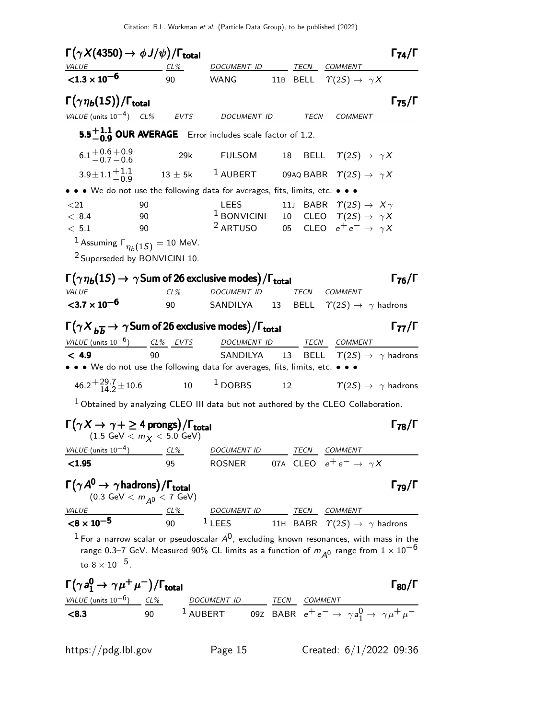| $\Gamma(\gamma X(4350) \rightarrow \phi J/\psi)/\Gamma_{\rm total}$                                                                                                                                                             |                                             |                                                                                                                                                                                  |               |                                                                | $\Gamma_{74}/\Gamma$ |
|---------------------------------------------------------------------------------------------------------------------------------------------------------------------------------------------------------------------------------|---------------------------------------------|----------------------------------------------------------------------------------------------------------------------------------------------------------------------------------|---------------|----------------------------------------------------------------|----------------------|
| $VALU E$ CL%<br>$<$ 1.3 $\times$ 10 <sup>-6</sup>                                                                                                                                                                               | 90                                          | DOCUMENT ID TECN COMMENT<br>WANG 11B BELL $\Upsilon(2S) \rightarrow \gamma X$                                                                                                    |               |                                                                |                      |
| $\Gamma(\gamma \eta_b(1S))/\Gamma_{\text{total}}$<br><u>VALUE</u> (units $10^{-4}$ ) CL% EVTS                                                                                                                                   |                                             | DOCUMENT ID                                                                                                                                                                      |               | TECN COMMENT                                                   | $\Gamma_{75}/\Gamma$ |
|                                                                                                                                                                                                                                 |                                             | 5.5 <sup><math>+1.1</math></sup> OUR AVERAGE Error includes scale factor of 1.2.                                                                                                 |               |                                                                |                      |
| $6.1 + 0.6 + 0.9$<br>$-0.7 - 0.6$                                                                                                                                                                                               | 29k                                         | <b>FULSOM</b>                                                                                                                                                                    |               | 18 BELL $\Upsilon(2S) \rightarrow \gamma X$                    |                      |
| $3.9 \pm 1.1 \frac{+1.1}{-0.9}$                                                                                                                                                                                                 |                                             | $13 \pm 5$ k $^{-1}$ AUBERT 09AQ BABR $\ \varUpsilon(2S) \rightarrow \ \gamma X$                                                                                                 |               |                                                                |                      |
| • • • We do not use the following data for averages, fits, limits, etc. • • •                                                                                                                                                   |                                             |                                                                                                                                                                                  |               |                                                                |                      |
| ${<}21$<br>< 8.4<br>< 5.1<br><sup>1</sup> Assuming $\Gamma_{\eta_h(1S)} = 10$ MeV.<br><sup>2</sup> Superseded by BONVICINI 10.                                                                                                  | 90<br>90<br>90                              | LEES<br><sup>1</sup> BONVICINI 10 CLEO $T(2S) \rightarrow \gamma X$<br><sup>2</sup> ARTUSO 05 CLEO $e^+e^- \rightarrow \gamma X$                                                 |               | 11J BABR $\Upsilon(2S) \rightarrow X\gamma$                    |                      |
| $\Gamma(\gamma \eta_b(1S) \to \gamma \text{Sum of 26 exclusive modes})/\Gamma_{\text{total}}$<br>$\frac{VALUE}{< 3.7 \times 10^{-6}}$                                                                                           | $CL\%$                                      | DOCUMENT ID TECN COMMENT<br>90 SANDILYA 13 BELL $\Upsilon(2S) \rightarrow \gamma$ hadrons                                                                                        |               |                                                                | $\Gamma_{76}/\Gamma$ |
| $\Gamma(\gamma X_{b\overline{b}} \to \gamma$ Sum of 26 exclusive modes)/ $\Gamma_{\text{total}}$<br>VALUE (units $10^{-6}$ ) CL% EVTS<br>< 4.9<br>• • • We do not use the following data for averages, fits, limits, etc. • • • | 90                                          | DOCUMENT ID<br>SANDILYA 13                                                                                                                                                       | $\sim$ $\sim$ | TECN COMMENT<br>BELL $\Upsilon(2S) \rightarrow \gamma$ hadrons | $\Gamma_{77}/\Gamma$ |
| $46.2 + {29.7 \atop -14.2} \pm 10.6$                                                                                                                                                                                            |                                             | $10 \qquad \begin{array}{ccc} 1 & \text{DOBBS} & \text{12} & \text{12} \end{array} \qquad \qquad \begin{array}{ccc} \gamma(2S) \rightarrow & \gamma \text{ hadrons} \end{array}$ |               |                                                                |                      |
| <sup>1</sup> Obtained by analyzing CLEO III data but not authored by the CLEO Collaboration.                                                                                                                                    |                                             |                                                                                                                                                                                  |               |                                                                |                      |
| $\Gamma(\gamma X \to \gamma + \geq 4 \text{ prongs})/\Gamma_{\text{total}}$                                                                                                                                                     | $(1.5 \text{ GeV} < m_X < 5.0 \text{ GeV})$ |                                                                                                                                                                                  |               |                                                                | $\Gamma_{78}/\Gamma$ |
| VALUE (units $10^{-4}$ ) CL% DOCUMENT ID TECN COMMENT                                                                                                                                                                           |                                             |                                                                                                                                                                                  |               |                                                                |                      |
| < 1.95                                                                                                                                                                                                                          | 95                                          | ROSNER 07A CLEO $e^+e^- \rightarrow \gamma X$                                                                                                                                    |               |                                                                |                      |
| $\Gamma(\gamma A^0 \rightarrow \gamma \text{hadrons})/\Gamma_{\text{total}} \\ (0.3 \text{ GeV} < m_{A^0} < 7 \text{ GeV})$                                                                                                     |                                             |                                                                                                                                                                                  |               |                                                                | $\Gamma_{79}/\Gamma$ |
| VALUE CL <sup>9</sup> CL <sup>9</sup> DOCUMENT ID TECN COMMENT<br>$\le 8 \times 10^{-5}$ 90 $1$ LEES 11H BABR $\Upsilon(2S) \rightarrow \gamma$ hadrons<br><b>VALUE</b>                                                         |                                             |                                                                                                                                                                                  |               |                                                                |                      |
| <sup>1</sup> For a narrow scalar or pseudoscalar $A^0$ , excluding known resonances, with mass in the<br>to $8 \times 10^{-5}$ .                                                                                                |                                             | range 0.3–7 GeV. Measured 90% CL limits as a function of $m_{\tilde{A}^0}$ range from $1\times 10^{-6}$                                                                          |               |                                                                |                      |
| $\Gamma(\gamma a_1^0 \to \gamma \mu^+ \mu^-)/\Gamma_{\rm total}$                                                                                                                                                                |                                             |                                                                                                                                                                                  |               |                                                                | $\Gamma_{80}/\Gamma$ |

VALUE (units  $10^{-6}$ ) CL% DOCUMENT ID TECN COMMENT  $<$ **8.3** 90 <sup>1</sup> AUBERT 09Z BABR  $e^+e^- \rightarrow \gamma a_1^0 \rightarrow \gamma \mu^+ \mu^-$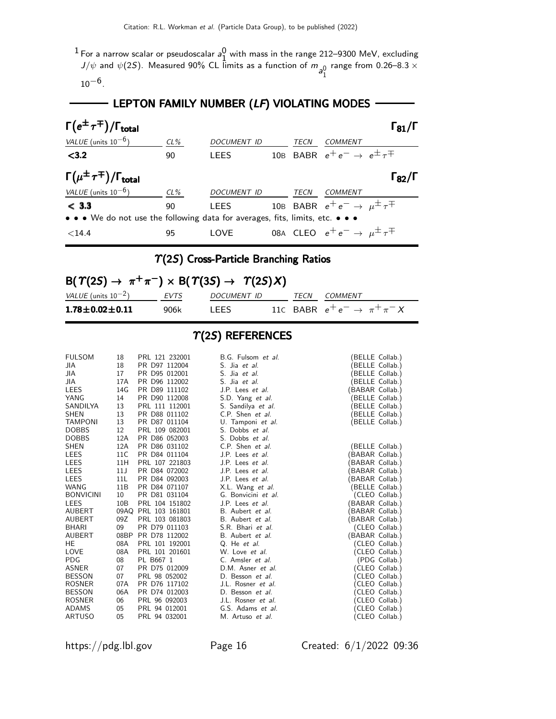$^1$  For a narrow scalar or pseudoscalar  $a_1^0$ 1 with mass in the range 212–9300 MeV, excluding J/ $\psi$  and  $\psi(2S)$ . Measured 90% CL limits as a function of  $m_{\hat{\mathfrak{g}}^0_1}$ range from 0.26–8.3  $\times$ 

 $10^{-6}$ .

# - LEPTON FAMILY NUMBER (LF) VIOLATING MODES -----

| $\Gamma(e^{\pm}\tau^{\mp})/\Gamma_{\rm total}$                                |        |                    |      |                                                    | $\Gamma_{81}/\Gamma$ |
|-------------------------------------------------------------------------------|--------|--------------------|------|----------------------------------------------------|----------------------|
| VALUE (units $10^{-6}$ )                                                      | $CL\%$ | <b>DOCUMENT ID</b> | TECN | COMMENT                                            |                      |
| $3.2$                                                                         | 90     | <b>LEES</b>        |      | 10B BABR $e^+e^- \rightarrow e^{\pm} \tau^{\mp}$   |                      |
| $\Gamma(\mu^{\pm}\tau^{\mp})/\Gamma_{\rm total}$                              |        |                    |      |                                                    | $\Gamma_{82}/\Gamma$ |
| VALUE (units $10^{-6}$ )                                                      | $CL\%$ | <b>DOCUMENT ID</b> | TECN | COMMENT                                            |                      |
| < 3.3                                                                         | 90     | <b>LEES</b>        |      | 10B BABR $e^+e^- \rightarrow \mu^{\pm} \tau^{\mp}$ |                      |
| • • • We do not use the following data for averages, fits, limits, etc. • • • |        |                    |      |                                                    |                      |
| ${<}14.4$                                                                     | 95     | LOVE               |      | 08A CLEO $e^+e^- \rightarrow \mu^{\pm} \tau^{\mp}$ |                      |

# $\Upsilon(2S)$  Cross-Particle Branching Ratios

# $B(\Upsilon(2S) \to \pi^+ \pi^-) \times B(\Upsilon(3S) \to \Upsilon(2S)X)$

| VALUE (units $10^{-2}$ )     | <b>EVTS</b> | <i>DOCUMENT ID</i> | <b>TFCN</b> | <i>COMMENT</i>                            |
|------------------------------|-------------|--------------------|-------------|-------------------------------------------|
| $1.78\!\pm\!0.02\!\pm\!0.11$ | 906k        | LEES.              |             | 11C BABR $e^+e^- \rightarrow \pi^+\pi^-X$ |

### $\Upsilon(2S)$  REFERENCES

| <b>FULSOM</b><br>JIA<br>JIA<br>JIA<br>LEES<br>YANG<br>SANDILYA | 18<br>18<br>17<br>17A<br>14G<br>14<br>13 | PRL 121 232001<br>PR D97 112004<br>PR D95 012001<br>PR D96 112002<br>PR D89 111102<br>PR D90 112008<br>PRL 111 112001 | B.G. Fulsom et al.<br>S. Jia et al.<br>S. Jia et al.<br>S. Jia et al.<br>J.P. Lees et al.<br>S.D. Yang et al.<br>S. Sandilya et al. | (BELLE Collab.)<br>BELLE Collab.)<br>BELLE Collab.)<br>BELLE Collab.)<br>(BABAR Collab.)<br>(BELLE Collab.)<br>(BELLE Collab.) |
|----------------------------------------------------------------|------------------------------------------|-----------------------------------------------------------------------------------------------------------------------|-------------------------------------------------------------------------------------------------------------------------------------|--------------------------------------------------------------------------------------------------------------------------------|
| <b>SHEN</b><br><b>TAMPONI</b>                                  | 13<br>13                                 | PR D88 011102<br>PR D87 011104                                                                                        | C.P. Shen et al.<br>U. Tamponi et al.                                                                                               | BELLE Collab.)<br>(BELLE Collab.)                                                                                              |
| <b>DOBBS</b>                                                   | 12                                       | PRL 109 082001                                                                                                        | S. Dobbs et al.                                                                                                                     |                                                                                                                                |
| <b>DOBBS</b>                                                   | 12A                                      | PR D86 052003                                                                                                         | S. Dobbs et al.                                                                                                                     |                                                                                                                                |
| <b>SHEN</b>                                                    | 12A                                      | PR D86 031102                                                                                                         | C.P. Shen et al.                                                                                                                    | (BELLE Collab.)                                                                                                                |
| <b>LEES</b>                                                    | 11C                                      | PR D84 011104                                                                                                         | J.P. Lees et al.                                                                                                                    | (BABAR Collab.)                                                                                                                |
| LEES                                                           | 11H                                      | PRL 107 221803                                                                                                        | J.P. Lees et al.                                                                                                                    | BABAR Collab.)                                                                                                                 |
| LEES                                                           | 11J                                      | PR D84 072002                                                                                                         | J.P. Lees et al.                                                                                                                    | BABAR Collab.)                                                                                                                 |
| LEES                                                           | 11L                                      | PR D84 092003                                                                                                         | J.P. Lees et al.                                                                                                                    | BABAR Collab.)                                                                                                                 |
| WANG                                                           | 11B                                      | PR D84 071107                                                                                                         | X.L. Wang et al.                                                                                                                    | (BELLE Collab.)                                                                                                                |
| <b>BONVICINI</b>                                               | 10 <sup>1</sup>                          | PR D81 031104                                                                                                         | G. Bonvicini et al.                                                                                                                 | (CLEO Collab.)                                                                                                                 |
| LEES                                                           | 10B                                      | PRL 104 151802                                                                                                        | J.P. Lees et al.                                                                                                                    | (BABAR Collab.)                                                                                                                |
| AUBERT                                                         |                                          | 09AQ PRL 103 161801                                                                                                   | B. Aubert et al.                                                                                                                    | BABAR Collab.)                                                                                                                 |
| <b>AUBERT</b>                                                  | 09Z                                      | PRL 103 081803                                                                                                        | B. Aubert et al.                                                                                                                    | (BABAR Collab.)                                                                                                                |
| <b>BHARI</b>                                                   | 09                                       | PR D79 011103                                                                                                         | S.R. Bhari et al.                                                                                                                   | (CLEO Collab.)                                                                                                                 |
| AUBERT                                                         | 08BP                                     | PR D78 112002                                                                                                         | B. Aubert et al.                                                                                                                    | (BABAR Collab.)                                                                                                                |
| HE                                                             | 08A                                      | PRL 101 192001                                                                                                        | Q. He et al.                                                                                                                        | (CLEO Collab.)                                                                                                                 |
| LOVE                                                           | 08A                                      | PRL 101 201601                                                                                                        | W. Love et al.                                                                                                                      | (CLEO Collab.)                                                                                                                 |
| <b>PDG</b>                                                     | 08                                       | PL B667 1                                                                                                             | C. Amsler et al.                                                                                                                    | (PDG Collab.)                                                                                                                  |
| <b>ASNER</b>                                                   | 07                                       | PR D75 012009                                                                                                         | D.M. Asner et al.                                                                                                                   | (CLEO Collab.)                                                                                                                 |
| <b>BESSON</b>                                                  | 07                                       | PRL 98 052002                                                                                                         | D. Besson et al.                                                                                                                    | CLEO Collab.)                                                                                                                  |
| <b>ROSNER</b>                                                  | 07A                                      | PR D76 117102                                                                                                         | J.L. Rosner et al.                                                                                                                  | CLEO Collab.)                                                                                                                  |
| <b>BESSON</b>                                                  | 06A                                      | PR D74 012003                                                                                                         | D. Besson et al.                                                                                                                    | (CLEO Collab.)                                                                                                                 |
| <b>ROSNER</b>                                                  | 06                                       | PRL 96 092003                                                                                                         | J.L. Rosner et al.                                                                                                                  | (CLEO Collab.)                                                                                                                 |
| ADAMS                                                          | 05                                       | PRL 94 012001                                                                                                         | G.S. Adams et al.                                                                                                                   | (CLEO Collab.)                                                                                                                 |
| <b>ARTUSO</b>                                                  | 05                                       | PRL 94 032001                                                                                                         | M. Artuso et al.                                                                                                                    | (CLEO Collab.)                                                                                                                 |

https://pdg.lbl.gov Page 16 Created: 6/1/2022 09:36